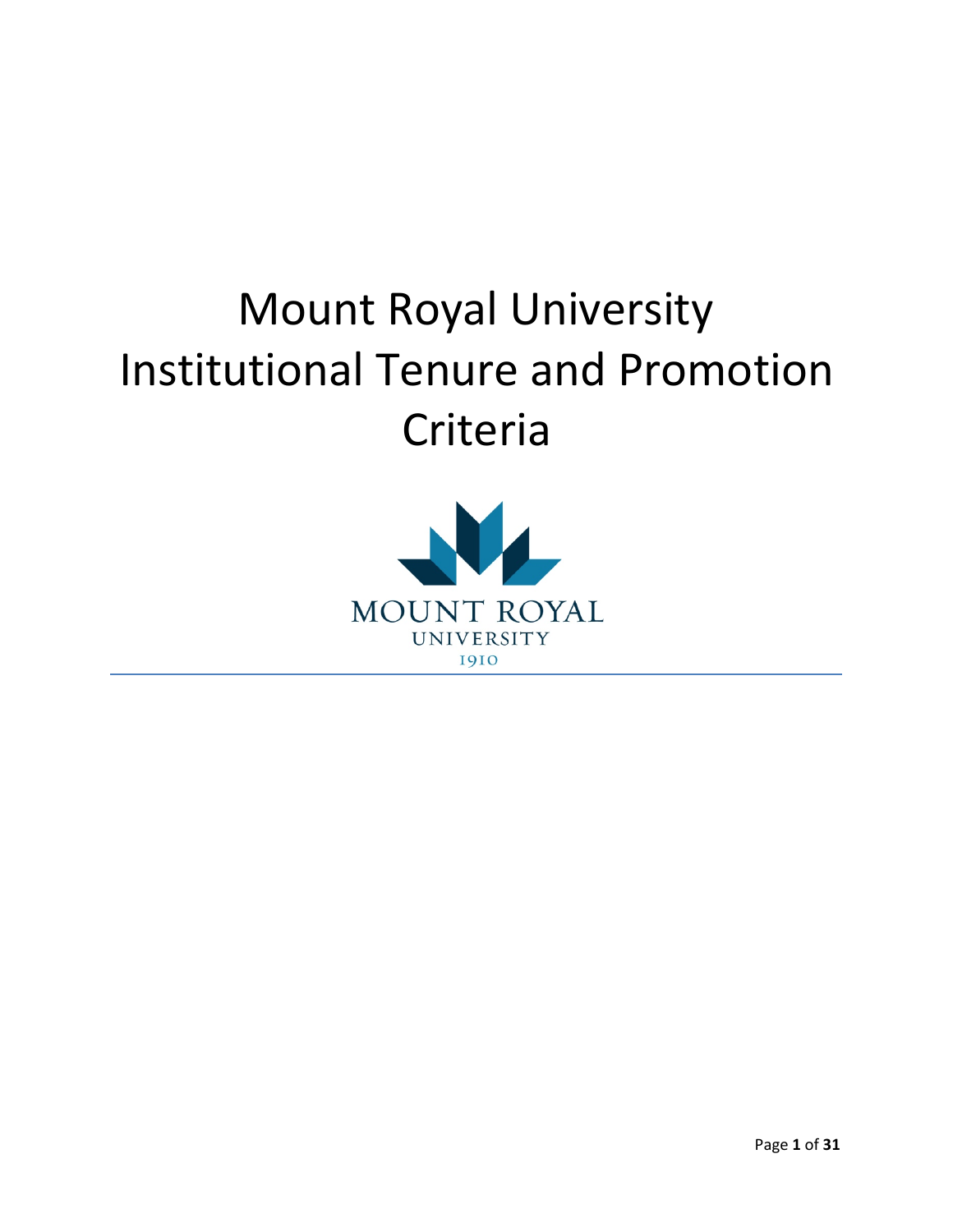# Mount Royal University Institutional Tenure and Promotion Criteria

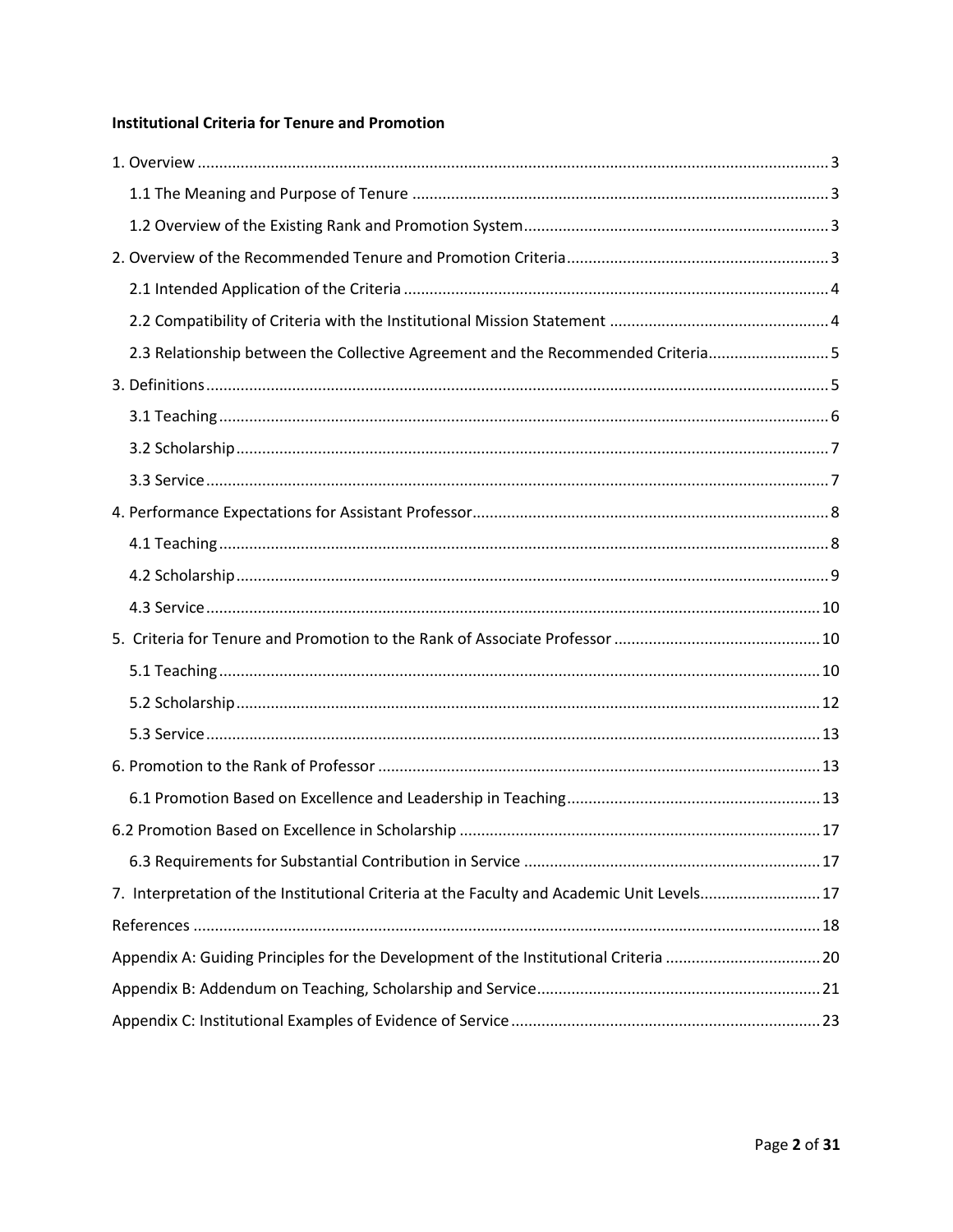## **Institutional Criteria for Tenure and Promotion**

| 2.3 Relationship between the Collective Agreement and the Recommended Criteria5            |
|--------------------------------------------------------------------------------------------|
|                                                                                            |
|                                                                                            |
|                                                                                            |
|                                                                                            |
|                                                                                            |
|                                                                                            |
|                                                                                            |
|                                                                                            |
|                                                                                            |
|                                                                                            |
|                                                                                            |
|                                                                                            |
|                                                                                            |
|                                                                                            |
|                                                                                            |
|                                                                                            |
| 7. Interpretation of the Institutional Criteria at the Faculty and Academic Unit Levels 17 |
|                                                                                            |
|                                                                                            |
| Appendix A: Guiding Principles for the Development of the Institutional Criteria 20        |
|                                                                                            |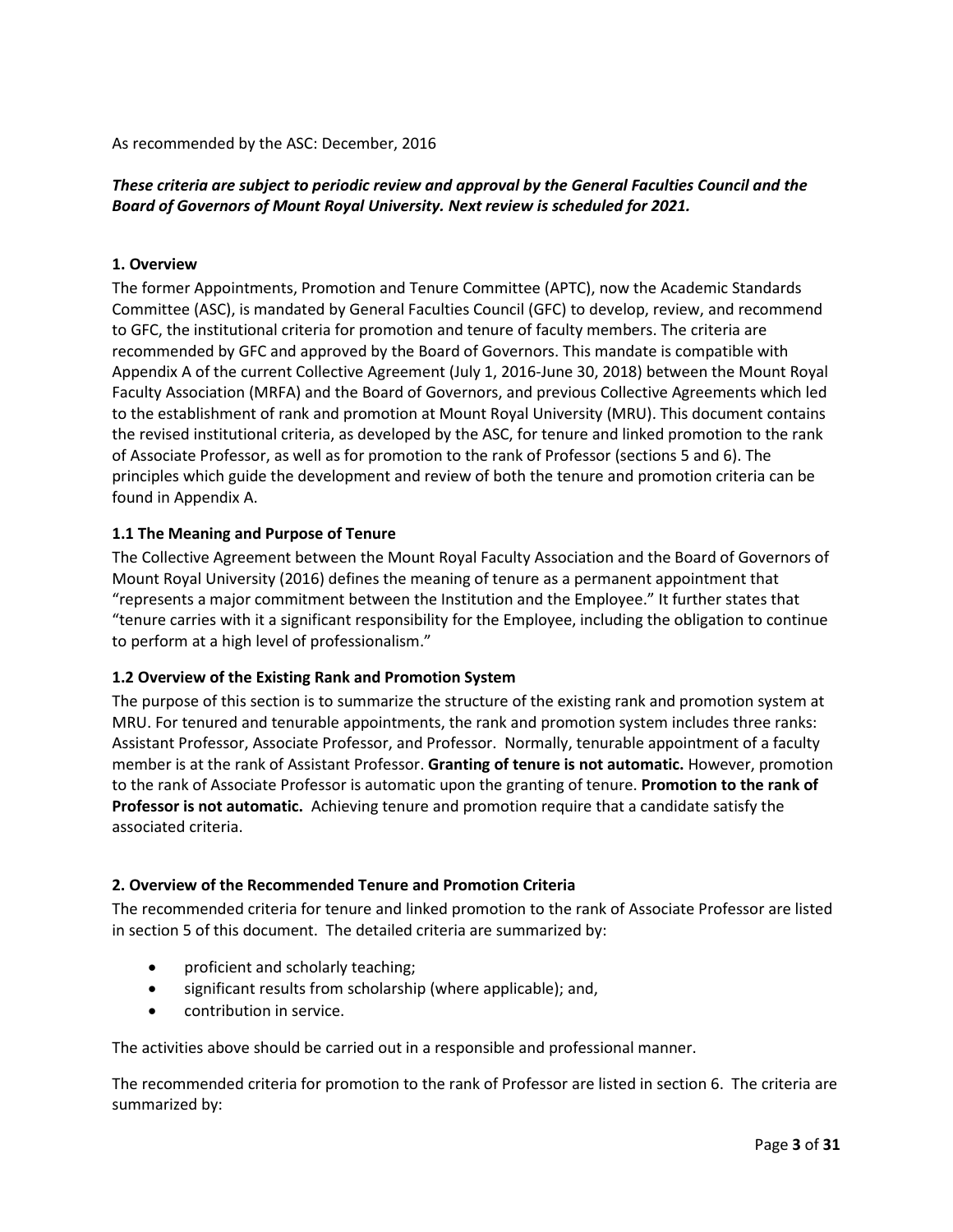As recommended by the ASC: December, 2016

## *These criteria are subject to periodic review and approval by the General Faculties Council and the Board of Governors of Mount Royal University. Next review is scheduled for 2021.*

#### <span id="page-2-0"></span>**1. Overview**

The former Appointments, Promotion and Tenure Committee (APTC), now the Academic Standards Committee (ASC), is mandated by General Faculties Council (GFC) to develop, review, and recommend to GFC, the institutional criteria for promotion and tenure of faculty members. The criteria are recommended by GFC and approved by the Board of Governors. This mandate is compatible with Appendix A of the current Collective Agreement (July 1, 2016-June 30, 2018) between the Mount Royal Faculty Association (MRFA) and the Board of Governors, and previous Collective Agreements which led to the establishment of rank and promotion at Mount Royal University (MRU). This document contains the revised institutional criteria, as developed by the ASC, for tenure and linked promotion to the rank of Associate Professor, as well as for promotion to the rank of Professor (sections 5 and 6). The principles which guide the development and review of both the tenure and promotion criteria can be found in Appendix A.

### <span id="page-2-1"></span>**1.1 The Meaning and Purpose of Tenure**

The Collective Agreement between the Mount Royal Faculty Association and the Board of Governors of Mount Royal University (2016) defines the meaning of tenure as a permanent appointment that "represents a major commitment between the Institution and the Employee." It further states that "tenure carries with it a significant responsibility for the Employee, including the obligation to continue to perform at a high level of professionalism."

### <span id="page-2-2"></span>**1.2 Overview of the Existing Rank and Promotion System**

The purpose of this section is to summarize the structure of the existing rank and promotion system at MRU. For tenured and tenurable appointments, the rank and promotion system includes three ranks: Assistant Professor, Associate Professor, and Professor. Normally, tenurable appointment of a faculty member is at the rank of Assistant Professor. **Granting of tenure is not automatic.** However, promotion to the rank of Associate Professor is automatic upon the granting of tenure. **Promotion to the rank of Professor is not automatic.** Achieving tenure and promotion require that a candidate satisfy the associated criteria.

## <span id="page-2-3"></span>**2. Overview of the Recommended Tenure and Promotion Criteria**

The recommended criteria for tenure and linked promotion to the rank of Associate Professor are listed in section 5 of this document. The detailed criteria are summarized by:

- proficient and scholarly teaching;
- significant results from scholarship (where applicable); and,
- contribution in service.

The activities above should be carried out in a responsible and professional manner.

The recommended criteria for promotion to the rank of Professor are listed in section 6. The criteria are summarized by: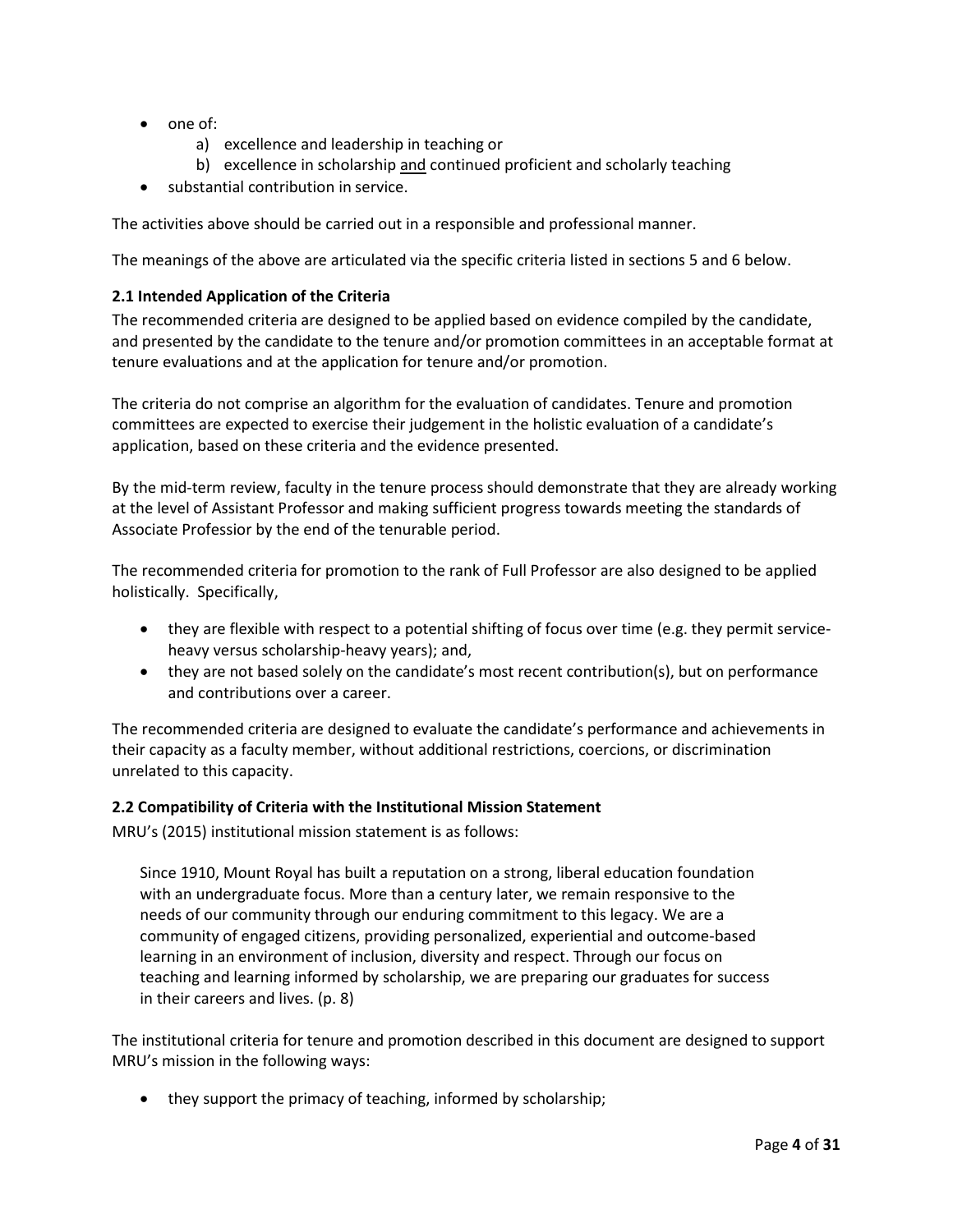- one of:
	- a) excellence and leadership in teaching or
	- b) excellence in scholarship and continued proficient and scholarly teaching
- substantial contribution in service.

The activities above should be carried out in a responsible and professional manner.

The meanings of the above are articulated via the specific criteria listed in sections 5 and 6 below.

#### <span id="page-3-0"></span>**2.1 Intended Application of the Criteria**

The recommended criteria are designed to be applied based on evidence compiled by the candidate, and presented by the candidate to the tenure and/or promotion committees in an acceptable format at tenure evaluations and at the application for tenure and/or promotion.

The criteria do not comprise an algorithm for the evaluation of candidates. Tenure and promotion committees are expected to exercise their judgement in the holistic evaluation of a candidate's application, based on these criteria and the evidence presented.

By the mid-term review, faculty in the tenure process should demonstrate that they are already working at the level of Assistant Professor and making sufficient progress towards meeting the standards of Associate Professior by the end of the tenurable period.

The recommended criteria for promotion to the rank of Full Professor are also designed to be applied holistically. Specifically,

- they are flexible with respect to a potential shifting of focus over time (e.g. they permit serviceheavy versus scholarship-heavy years); and,
- they are not based solely on the candidate's most recent contribution(s), but on performance and contributions over a career.

The recommended criteria are designed to evaluate the candidate's performance and achievements in their capacity as a faculty member, without additional restrictions, coercions, or discrimination unrelated to this capacity.

#### <span id="page-3-1"></span>**2.2 Compatibility of Criteria with the Institutional Mission Statement**

MRU's (2015) institutional mission statement is as follows:

Since 1910, Mount Royal has built a reputation on a strong, liberal education foundation with an undergraduate focus. More than a century later, we remain responsive to the needs of our community through our enduring commitment to this legacy. We are a community of engaged citizens, providing personalized, experiential and outcome-based learning in an environment of inclusion, diversity and respect. Through our focus on teaching and learning informed by scholarship, we are preparing our graduates for success in their careers and lives. (p. 8)

The institutional criteria for tenure and promotion described in this document are designed to support MRU's mission in the following ways:

• they support the primacy of teaching, informed by scholarship;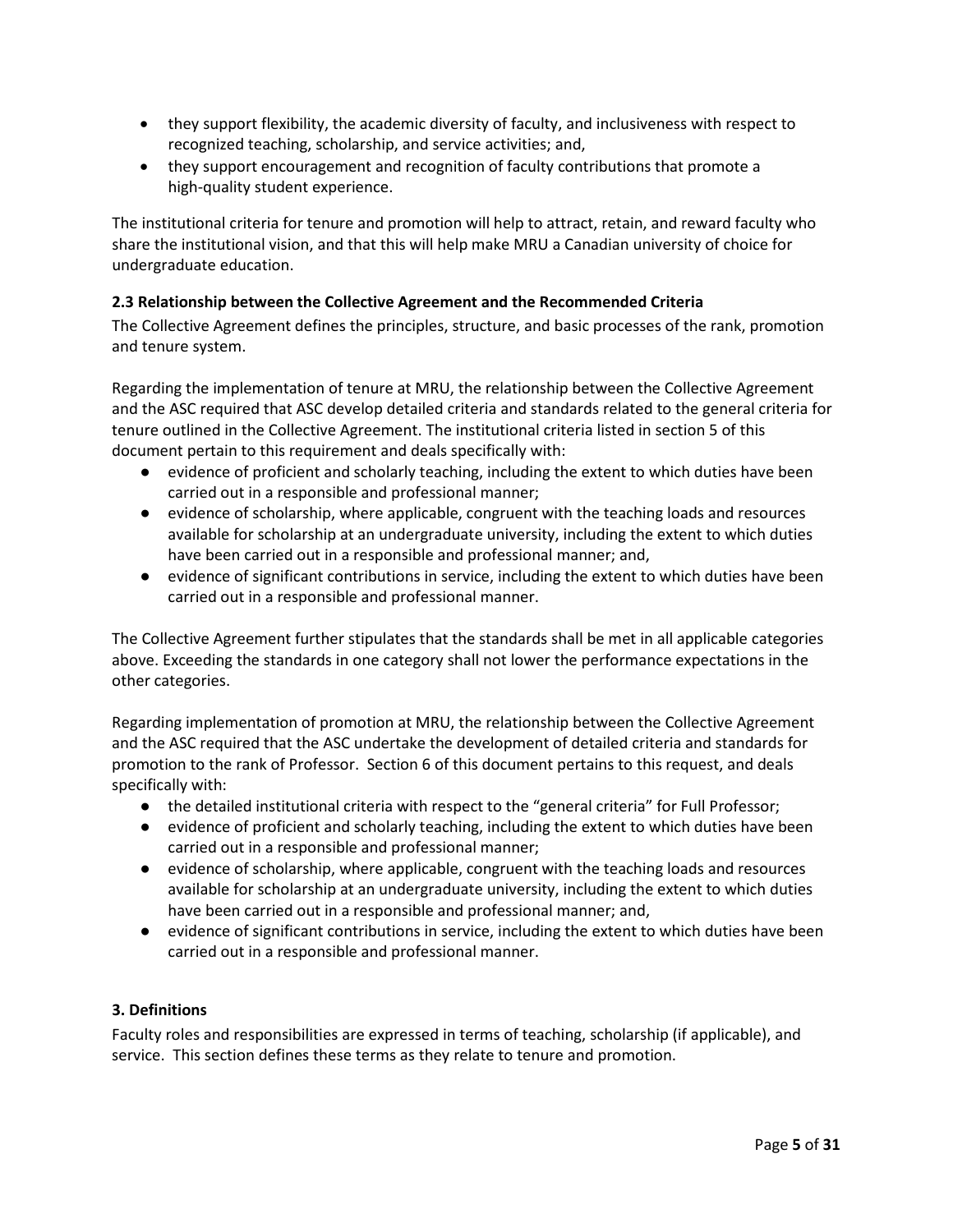- they support flexibility, the academic diversity of faculty, and inclusiveness with respect to recognized teaching, scholarship, and service activities; and,
- they support encouragement and recognition of faculty contributions that promote a high-quality student experience.

The institutional criteria for tenure and promotion will help to attract, retain, and reward faculty who share the institutional vision, and that this will help make MRU a Canadian university of choice for undergraduate education.

## <span id="page-4-0"></span>**2.3 Relationship between the Collective Agreement and the Recommended Criteria**

The Collective Agreement defines the principles, structure, and basic processes of the rank, promotion and tenure system.

Regarding the implementation of tenure at MRU, the relationship between the Collective Agreement and the ASC required that ASC develop detailed criteria and standards related to the general criteria for tenure outlined in the Collective Agreement. The institutional criteria listed in section 5 of this document pertain to this requirement and deals specifically with:

- evidence of proficient and scholarly teaching, including the extent to which duties have been carried out in a responsible and professional manner;
- evidence of scholarship, where applicable, congruent with the teaching loads and resources available for scholarship at an undergraduate university, including the extent to which duties have been carried out in a responsible and professional manner; and,
- evidence of significant contributions in service, including the extent to which duties have been carried out in a responsible and professional manner.

The Collective Agreement further stipulates that the standards shall be met in all applicable categories above. Exceeding the standards in one category shall not lower the performance expectations in the other categories.

Regarding implementation of promotion at MRU, the relationship between the Collective Agreement and the ASC required that the ASC undertake the development of detailed criteria and standards for promotion to the rank of Professor. Section 6 of this document pertains to this request, and deals specifically with:

- the detailed institutional criteria with respect to the "general criteria" for Full Professor;
- evidence of proficient and scholarly teaching, including the extent to which duties have been carried out in a responsible and professional manner;
- evidence of scholarship, where applicable, congruent with the teaching loads and resources available for scholarship at an undergraduate university, including the extent to which duties have been carried out in a responsible and professional manner; and,
- evidence of significant contributions in service, including the extent to which duties have been carried out in a responsible and professional manner.

### <span id="page-4-1"></span>**3. Definitions**

Faculty roles and responsibilities are expressed in terms of teaching, scholarship (if applicable), and service. This section defines these terms as they relate to tenure and promotion.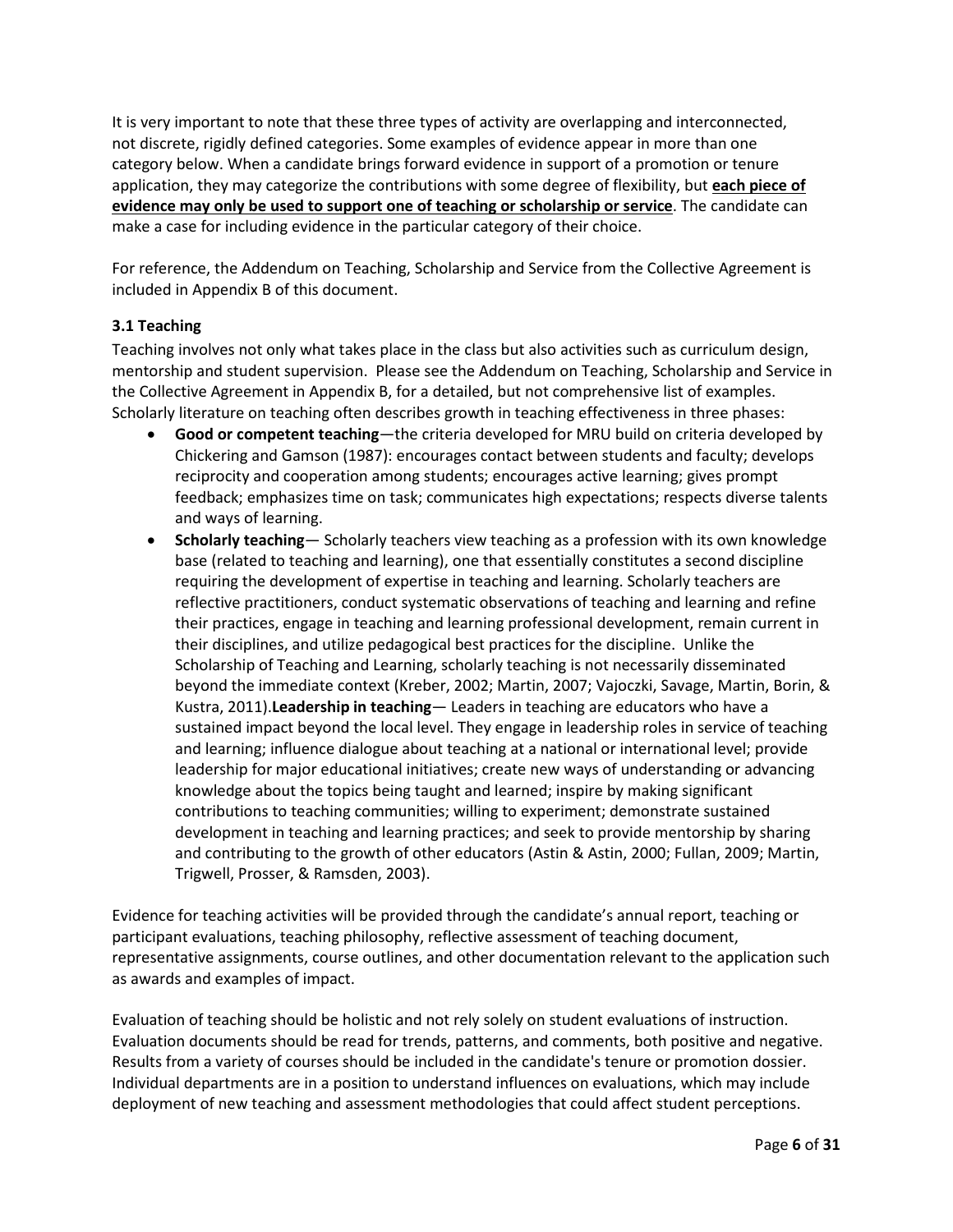It is very important to note that these three types of activity are overlapping and interconnected, not discrete, rigidly defined categories. Some examples of evidence appear in more than one category below. When a candidate brings forward evidence in support of a promotion or tenure application, they may categorize the contributions with some degree of flexibility, but **each piece of evidence may only be used to support one of teaching or scholarship or service**. The candidate can make a case for including evidence in the particular category of their choice.

For reference, the Addendum on Teaching, Scholarship and Service from the Collective Agreement is included in Appendix B of this document.

## <span id="page-5-0"></span>**3.1 Teaching**

Teaching involves not only what takes place in the class but also activities such as curriculum design, mentorship and student supervision. Please see the Addendum on Teaching, Scholarship and Service in the Collective Agreement in Appendix B, for a detailed, but not comprehensive list of examples. Scholarly literature on teaching often describes growth in teaching effectiveness in three phases:

- **Good or competent teaching**—the criteria developed for MRU build on criteria developed by Chickering and Gamson (1987): encourages contact between students and faculty; develops reciprocity and cooperation among students; encourages active learning; gives prompt feedback; emphasizes time on task; communicates high expectations; respects diverse talents and ways of learning.
- **Scholarly teaching** Scholarly teachers view teaching as a profession with its own knowledge base (related to teaching and learning), one that essentially constitutes a second discipline requiring the development of expertise in teaching and learning. Scholarly teachers are reflective practitioners, conduct systematic observations of teaching and learning and refine their practices, engage in teaching and learning professional development, remain current in their disciplines, and utilize pedagogical best practices for the discipline. Unlike the Scholarship of Teaching and Learning, scholarly teaching is not necessarily disseminated beyond the immediate context (Kreber, 2002; Martin, 2007; Vajoczki, Savage, Martin, Borin, & Kustra, 2011).**Leadership in teaching**— Leaders in teaching are educators who have a sustained impact beyond the local level. They engage in leadership roles in service of teaching and learning; influence dialogue about teaching at a national or international level; provide leadership for major educational initiatives; create new ways of understanding or advancing knowledge about the topics being taught and learned; inspire by making significant contributions to teaching communities; willing to experiment; demonstrate sustained development in teaching and learning practices; and seek to provide mentorship by sharing and contributing to the growth of other educators (Astin & Astin, 2000; Fullan, 2009; Martin, Trigwell, Prosser, & Ramsden, 2003).

Evidence for teaching activities will be provided through the candidate's annual report, teaching or participant evaluations, teaching philosophy, reflective assessment of teaching document, representative assignments, course outlines, and other documentation relevant to the application such as awards and examples of impact.

Evaluation of teaching should be holistic and not rely solely on student evaluations of instruction. Evaluation documents should be read for trends, patterns, and comments, both positive and negative. Results from a variety of courses should be included in the candidate's tenure or promotion dossier. Individual departments are in a position to understand influences on evaluations, which may include deployment of new teaching and assessment methodologies that could affect student perceptions.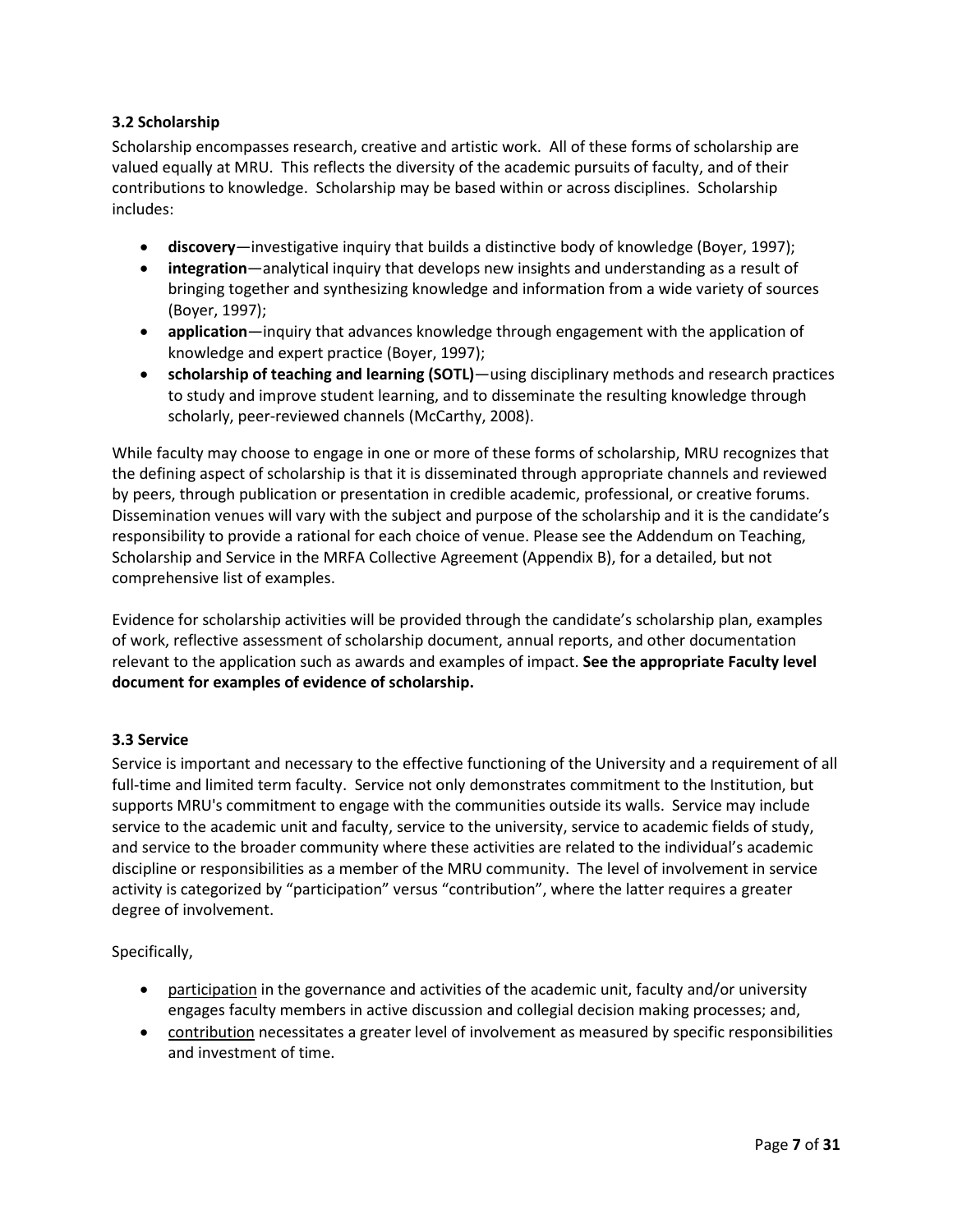## <span id="page-6-0"></span>**3.2 Scholarship**

Scholarship encompasses research, creative and artistic work. All of these forms of scholarship are valued equally at MRU. This reflects the diversity of the academic pursuits of faculty, and of their contributions to knowledge. Scholarship may be based within or across disciplines. Scholarship includes:

- **discovery**—investigative inquiry that builds a distinctive body of knowledge (Boyer, 1997);
- **integration**—analytical inquiry that develops new insights and understanding as a result of bringing together and synthesizing knowledge and information from a wide variety of sources (Boyer, 1997);
- **application**—inquiry that advances knowledge through engagement with the application of knowledge and expert practice (Boyer, 1997);
- **scholarship of teaching and learning (SOTL)**—using disciplinary methods and research practices to study and improve student learning, and to disseminate the resulting knowledge through scholarly, peer-reviewed channels (McCarthy, 2008).

While faculty may choose to engage in one or more of these forms of scholarship, MRU recognizes that the defining aspect of scholarship is that it is disseminated through appropriate channels and reviewed by peers, through publication or presentation in credible academic, professional, or creative forums. Dissemination venues will vary with the subject and purpose of the scholarship and it is the candidate's responsibility to provide a rational for each choice of venue. Please see the Addendum on Teaching, Scholarship and Service in the MRFA Collective Agreement (Appendix B), for a detailed, but not comprehensive list of examples.

Evidence for scholarship activities will be provided through the candidate's scholarship plan, examples of work, reflective assessment of scholarship document, annual reports, and other documentation relevant to the application such as awards and examples of impact. **See the appropriate Faculty level document for examples of evidence of scholarship.** 

### <span id="page-6-1"></span>**3.3 Service**

Service is important and necessary to the effective functioning of the University and a requirement of all full-time and limited term faculty. Service not only demonstrates commitment to the Institution, but supports MRU's commitment to engage with the communities outside its walls. Service may include service to the academic unit and faculty, service to the university, service to academic fields of study, and service to the broader community where these activities are related to the individual's academic discipline or responsibilities as a member of the MRU community. The level of involvement in service activity is categorized by "participation" versus "contribution", where the latter requires a greater degree of involvement.

Specifically,

- participation in the governance and activities of the academic unit, faculty and/or university engages faculty members in active discussion and collegial decision making processes; and,
- contribution necessitates a greater level of involvement as measured by specific responsibilities and investment of time.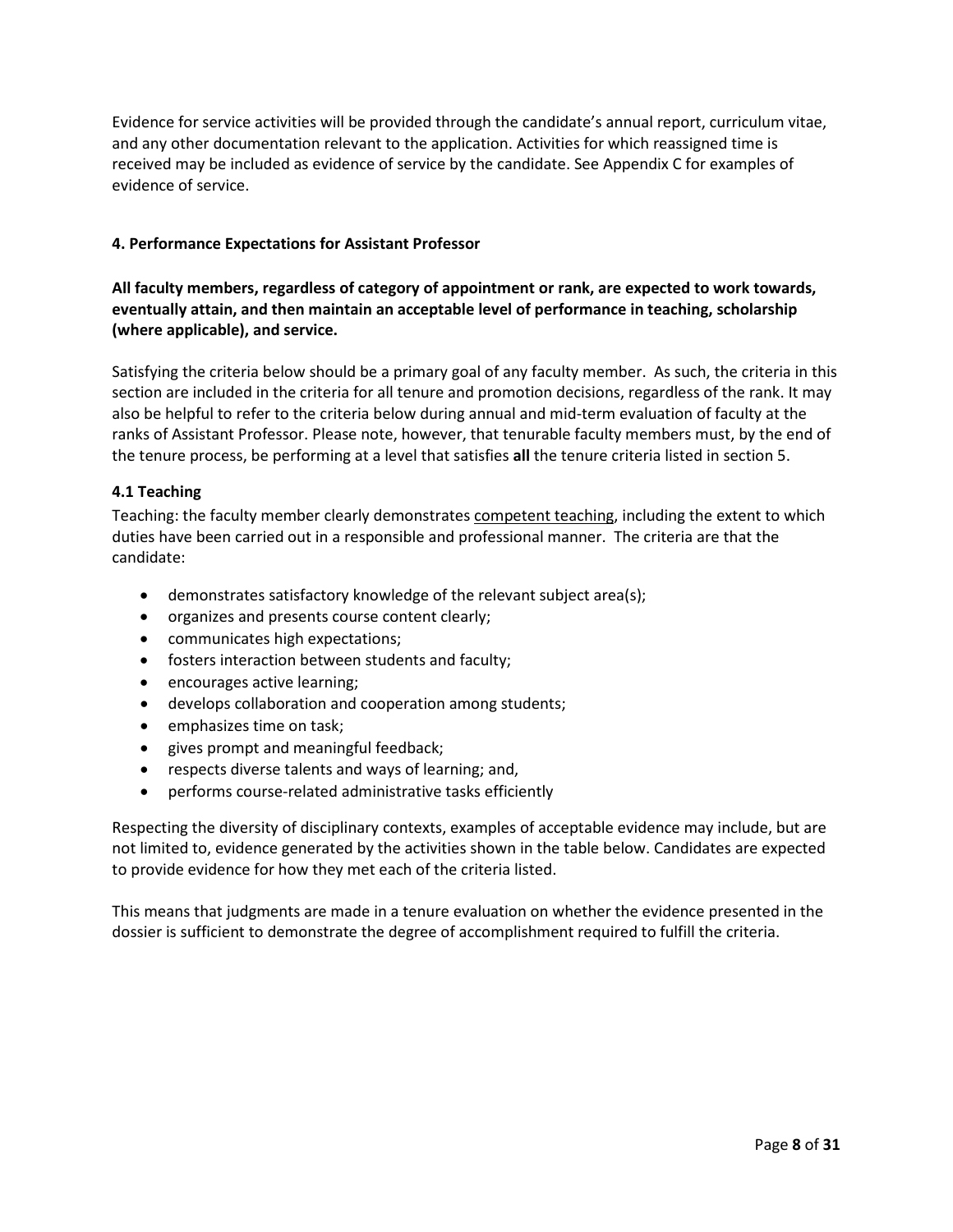Evidence for service activities will be provided through the candidate's annual report, curriculum vitae, and any other documentation relevant to the application. Activities for which reassigned time is received may be included as evidence of service by the candidate. See Appendix C for examples of evidence of service.

## <span id="page-7-0"></span>**4. Performance Expectations for Assistant Professor**

## **All faculty members, regardless of category of appointment or rank, are expected to work towards, eventually attain, and then maintain an acceptable level of performance in teaching, scholarship (where applicable), and service.**

Satisfying the criteria below should be a primary goal of any faculty member. As such, the criteria in this section are included in the criteria for all tenure and promotion decisions, regardless of the rank. It may also be helpful to refer to the criteria below during annual and mid-term evaluation of faculty at the ranks of Assistant Professor. Please note, however, that tenurable faculty members must, by the end of the tenure process, be performing at a level that satisfies **all** the tenure criteria listed in section 5.

## <span id="page-7-1"></span>**4.1 Teaching**

Teaching: the faculty member clearly demonstrates competent teaching, including the extent to which duties have been carried out in a responsible and professional manner. The criteria are that the candidate:

- demonstrates satisfactory knowledge of the relevant subject area(s);
- organizes and presents course content clearly;
- communicates high expectations;
- fosters interaction between students and faculty;
- encourages active learning;
- develops collaboration and cooperation among students;
- emphasizes time on task;
- gives prompt and meaningful feedback;
- respects diverse talents and ways of learning; and,
- performs course-related administrative tasks efficiently

Respecting the diversity of disciplinary contexts, examples of acceptable evidence may include, but are not limited to, evidence generated by the activities shown in the table below. Candidates are expected to provide evidence for how they met each of the criteria listed.

This means that judgments are made in a tenure evaluation on whether the evidence presented in the dossier is sufficient to demonstrate the degree of accomplishment required to fulfill the criteria.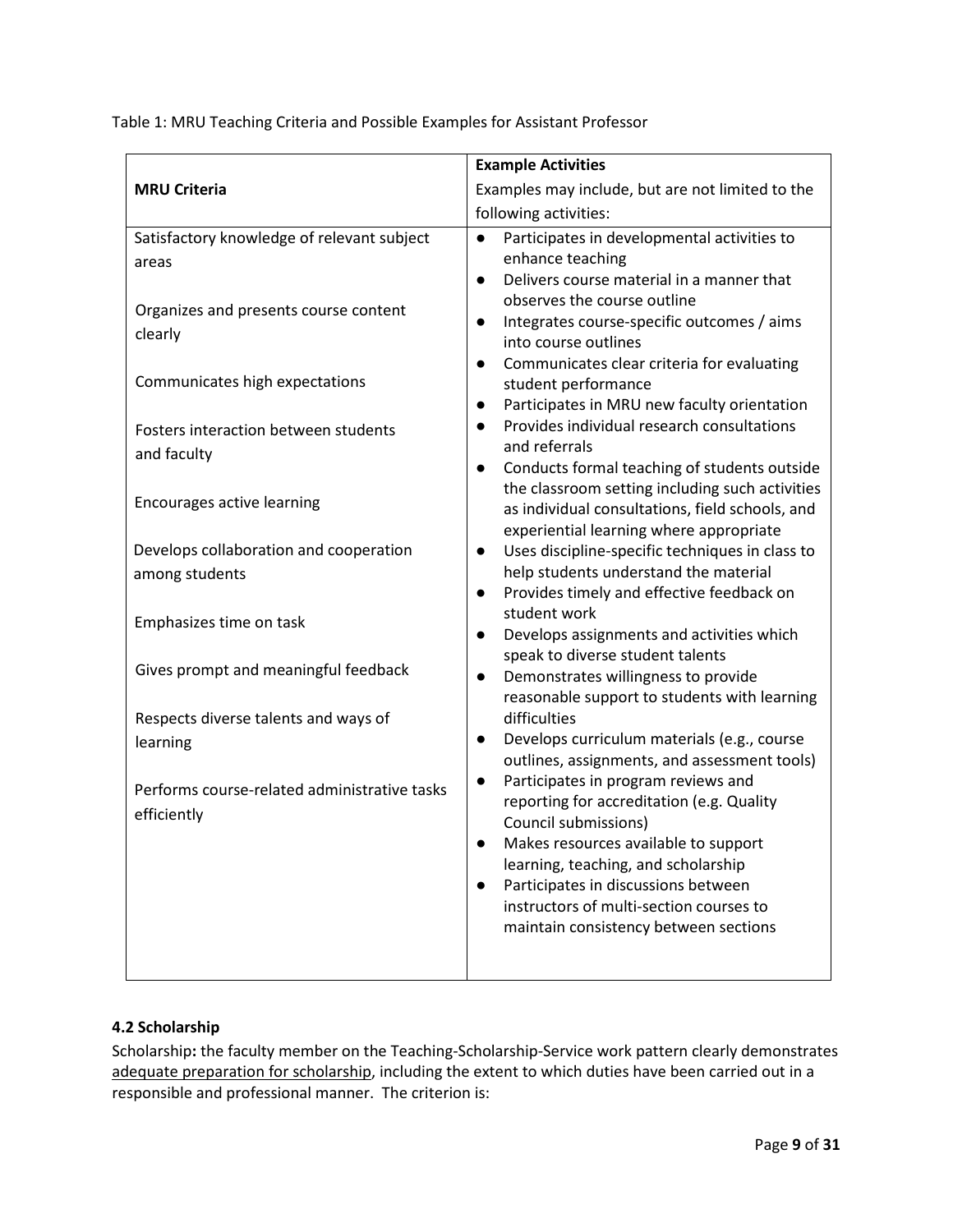Table 1: MRU Teaching Criteria and Possible Examples for Assistant Professor

|                                              | <b>Example Activities</b>                                                                       |
|----------------------------------------------|-------------------------------------------------------------------------------------------------|
| <b>MRU Criteria</b>                          | Examples may include, but are not limited to the                                                |
|                                              | following activities:                                                                           |
| Satisfactory knowledge of relevant subject   | Participates in developmental activities to<br>$\bullet$                                        |
| areas                                        | enhance teaching                                                                                |
|                                              | Delivers course material in a manner that<br>$\bullet$                                          |
| Organizes and presents course content        | observes the course outline<br>Integrates course-specific outcomes / aims<br>$\bullet$          |
| clearly                                      | into course outlines                                                                            |
|                                              | Communicates clear criteria for evaluating<br>$\bullet$                                         |
| Communicates high expectations               | student performance                                                                             |
|                                              | Participates in MRU new faculty orientation<br>$\bullet$                                        |
| Fosters interaction between students         | Provides individual research consultations<br>$\bullet$<br>and referrals                        |
| and faculty                                  | Conducts formal teaching of students outside                                                    |
|                                              | the classroom setting including such activities                                                 |
| Encourages active learning                   | as individual consultations, field schools, and                                                 |
|                                              | experiential learning where appropriate                                                         |
| Develops collaboration and cooperation       | Uses discipline-specific techniques in class to<br>$\bullet$                                    |
| among students                               | help students understand the material<br>Provides timely and effective feedback on<br>$\bullet$ |
|                                              | student work                                                                                    |
| Emphasizes time on task                      | Develops assignments and activities which                                                       |
|                                              | speak to diverse student talents                                                                |
| Gives prompt and meaningful feedback         | Demonstrates willingness to provide<br>$\bullet$                                                |
|                                              | reasonable support to students with learning                                                    |
| Respects diverse talents and ways of         | difficulties<br>Develops curriculum materials (e.g., course<br>$\bullet$                        |
| learning                                     | outlines, assignments, and assessment tools)                                                    |
| Performs course-related administrative tasks | Participates in program reviews and                                                             |
| efficiently                                  | reporting for accreditation (e.g. Quality                                                       |
|                                              | Council submissions)                                                                            |
|                                              | Makes resources available to support<br>learning, teaching, and scholarship                     |
|                                              | Participates in discussions between                                                             |
|                                              | instructors of multi-section courses to                                                         |
|                                              | maintain consistency between sections                                                           |
|                                              |                                                                                                 |
|                                              |                                                                                                 |

## <span id="page-8-0"></span>**4.2 Scholarship**

Scholarship**:** the faculty member on the Teaching-Scholarship-Service work pattern clearly demonstrates adequate preparation for scholarship, including the extent to which duties have been carried out in a responsible and professional manner. The criterion is: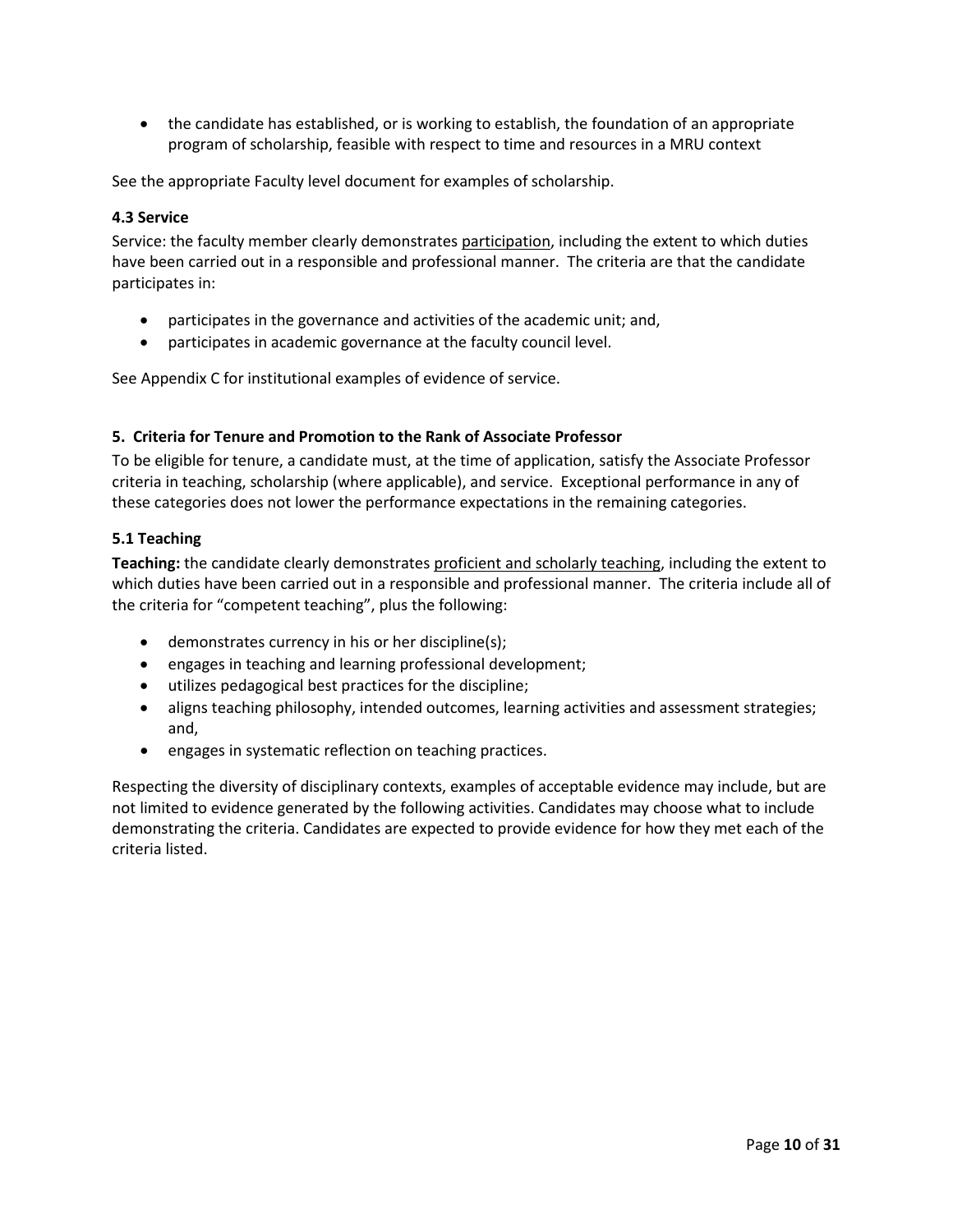• the candidate has established, or is working to establish, the foundation of an appropriate program of scholarship, feasible with respect to time and resources in a MRU context

See the appropriate Faculty level document for examples of scholarship.

#### <span id="page-9-0"></span>**4.3 Service**

Service: the faculty member clearly demonstrates participation, including the extent to which duties have been carried out in a responsible and professional manner. The criteria are that the candidate participates in:

- participates in the governance and activities of the academic unit; and,
- participates in academic governance at the faculty council level.

See Appendix C for institutional examples of evidence of service.

#### <span id="page-9-1"></span>**5. Criteria for Tenure and Promotion to the Rank of Associate Professor**

To be eligible for tenure, a candidate must, at the time of application, satisfy the Associate Professor criteria in teaching, scholarship (where applicable), and service. Exceptional performance in any of these categories does not lower the performance expectations in the remaining categories.

#### <span id="page-9-2"></span>**5.1 Teaching**

**Teaching:** the candidate clearly demonstrates proficient and scholarly teaching, including the extent to which duties have been carried out in a responsible and professional manner. The criteria include all of the criteria for "competent teaching", plus the following:

- demonstrates currency in his or her discipline(s);
- engages in teaching and learning professional development;
- utilizes pedagogical best practices for the discipline;
- aligns teaching philosophy, intended outcomes, learning activities and assessment strategies; and,
- engages in systematic reflection on teaching practices.

Respecting the diversity of disciplinary contexts, examples of acceptable evidence may include, but are not limited to evidence generated by the following activities. Candidates may choose what to include demonstrating the criteria. Candidates are expected to provide evidence for how they met each of the criteria listed.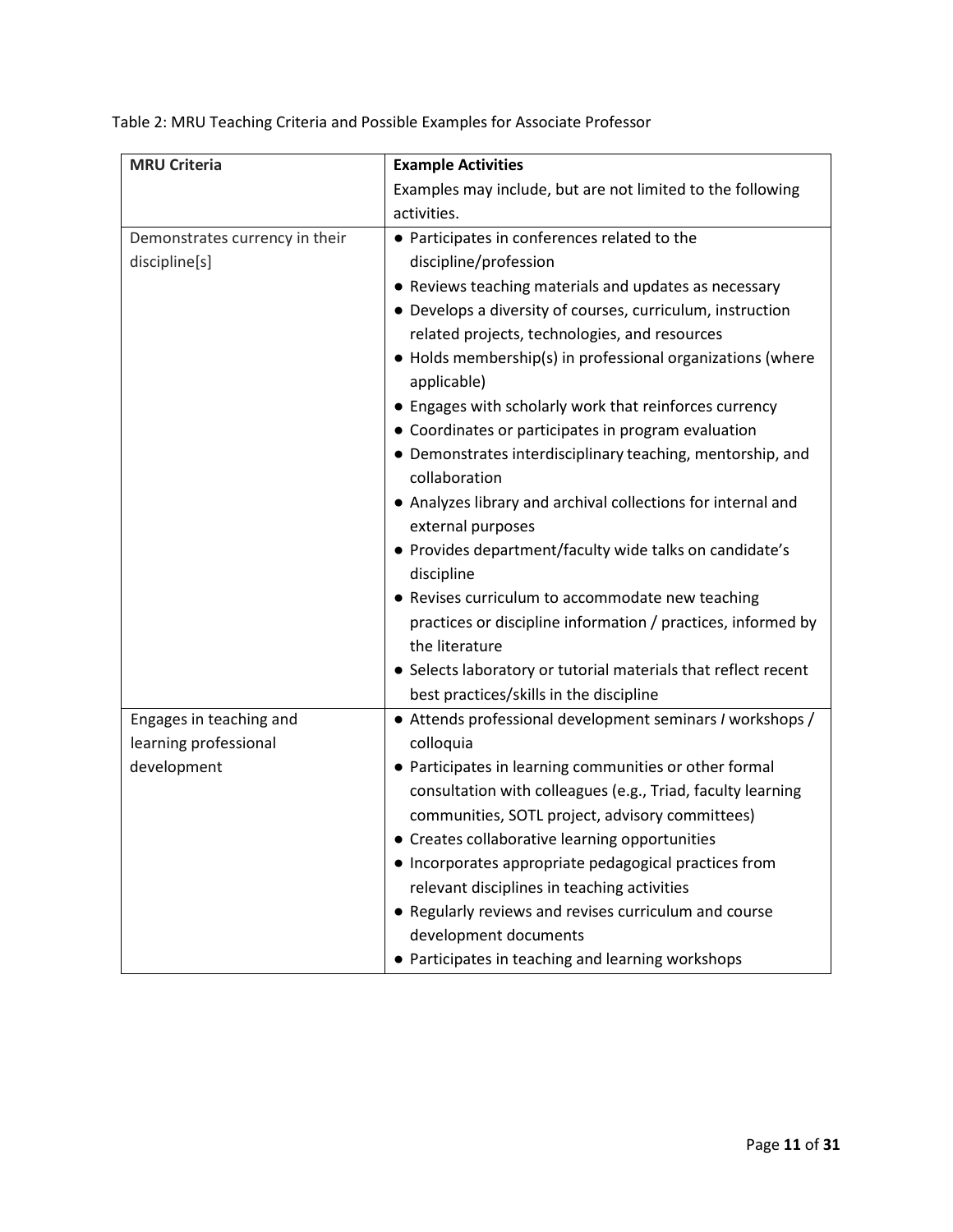| <b>MRU Criteria</b>            | <b>Example Activities</b>                                                 |  |  |  |
|--------------------------------|---------------------------------------------------------------------------|--|--|--|
|                                | Examples may include, but are not limited to the following                |  |  |  |
|                                | activities.                                                               |  |  |  |
| Demonstrates currency in their | • Participates in conferences related to the                              |  |  |  |
| discipline[s]                  | discipline/profession                                                     |  |  |  |
|                                | • Reviews teaching materials and updates as necessary                     |  |  |  |
|                                | • Develops a diversity of courses, curriculum, instruction                |  |  |  |
|                                | related projects, technologies, and resources                             |  |  |  |
|                                | • Holds membership(s) in professional organizations (where<br>applicable) |  |  |  |
|                                | • Engages with scholarly work that reinforces currency                    |  |  |  |
|                                | • Coordinates or participates in program evaluation                       |  |  |  |
|                                | • Demonstrates interdisciplinary teaching, mentorship, and                |  |  |  |
|                                | collaboration                                                             |  |  |  |
|                                | • Analyzes library and archival collections for internal and              |  |  |  |
|                                | external purposes                                                         |  |  |  |
|                                | • Provides department/faculty wide talks on candidate's                   |  |  |  |
|                                | discipline                                                                |  |  |  |
|                                | • Revises curriculum to accommodate new teaching                          |  |  |  |
|                                | practices or discipline information / practices, informed by              |  |  |  |
|                                | the literature                                                            |  |  |  |
|                                | • Selects laboratory or tutorial materials that reflect recent            |  |  |  |
|                                | best practices/skills in the discipline                                   |  |  |  |
| Engages in teaching and        | • Attends professional development seminars / workshops /                 |  |  |  |
| learning professional          | colloquia                                                                 |  |  |  |
| development                    | • Participates in learning communities or other formal                    |  |  |  |
|                                | consultation with colleagues (e.g., Triad, faculty learning               |  |  |  |
|                                | communities, SOTL project, advisory committees)                           |  |  |  |
|                                | • Creates collaborative learning opportunities                            |  |  |  |
|                                | • Incorporates appropriate pedagogical practices from                     |  |  |  |
|                                | relevant disciplines in teaching activities                               |  |  |  |
|                                | • Regularly reviews and revises curriculum and course                     |  |  |  |
|                                | development documents                                                     |  |  |  |
|                                | • Participates in teaching and learning workshops                         |  |  |  |

Table 2: MRU Teaching Criteria and Possible Examples for Associate Professor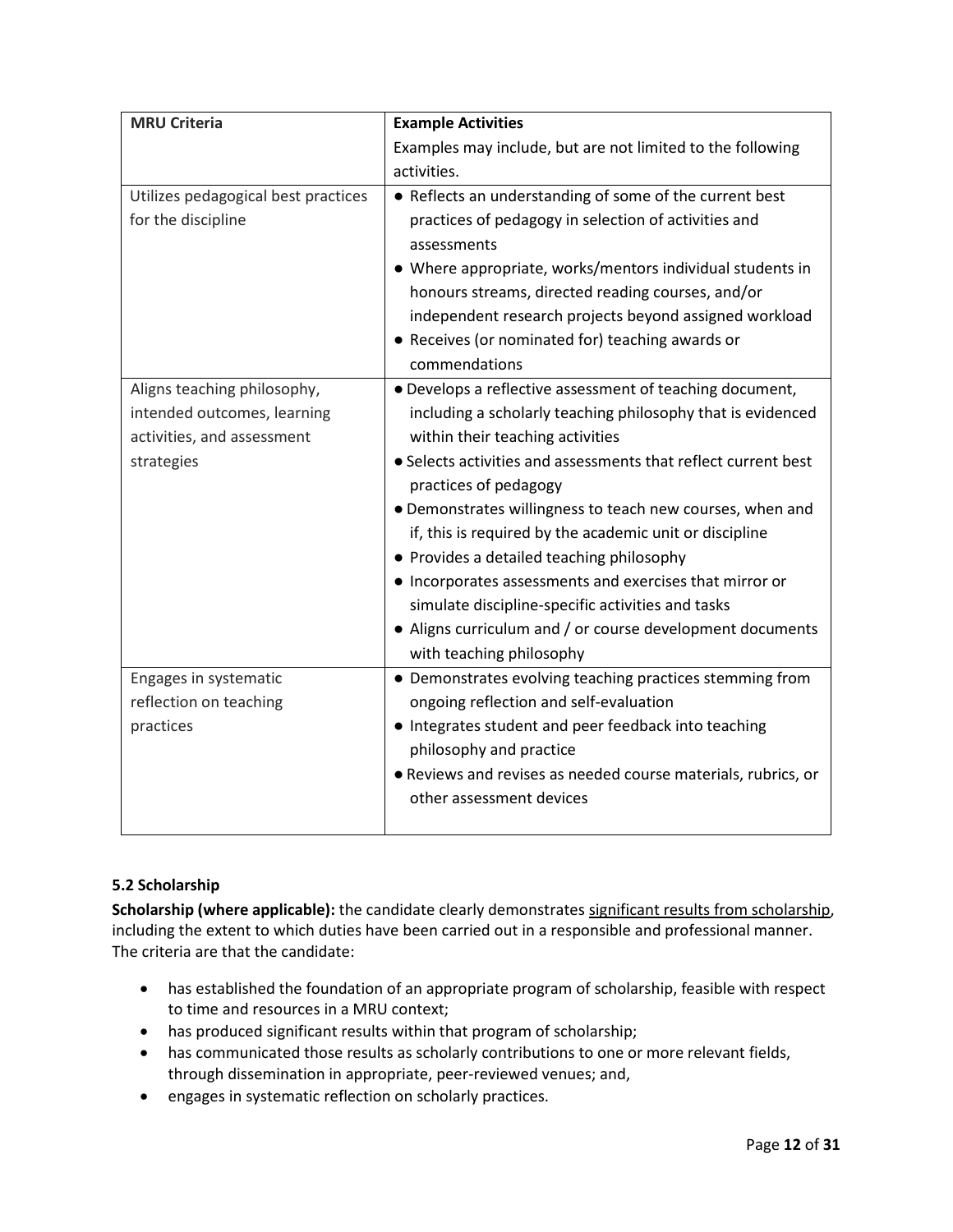| <b>MRU Criteria</b>                 | <b>Example Activities</b>                                      |  |  |
|-------------------------------------|----------------------------------------------------------------|--|--|
|                                     | Examples may include, but are not limited to the following     |  |  |
|                                     | activities.                                                    |  |  |
| Utilizes pedagogical best practices | • Reflects an understanding of some of the current best        |  |  |
| for the discipline                  | practices of pedagogy in selection of activities and           |  |  |
|                                     | assessments                                                    |  |  |
|                                     | • Where appropriate, works/mentors individual students in      |  |  |
|                                     | honours streams, directed reading courses, and/or              |  |  |
|                                     | independent research projects beyond assigned workload         |  |  |
|                                     | • Receives (or nominated for) teaching awards or               |  |  |
|                                     | commendations                                                  |  |  |
| Aligns teaching philosophy,         | • Develops a reflective assessment of teaching document,       |  |  |
| intended outcomes, learning         | including a scholarly teaching philosophy that is evidenced    |  |  |
| activities, and assessment          | within their teaching activities                               |  |  |
| strategies                          | • Selects activities and assessments that reflect current best |  |  |
|                                     | practices of pedagogy                                          |  |  |
|                                     | • Demonstrates willingness to teach new courses, when and      |  |  |
|                                     | if, this is required by the academic unit or discipline        |  |  |
|                                     | • Provides a detailed teaching philosophy                      |  |  |
|                                     | • Incorporates assessments and exercises that mirror or        |  |  |
|                                     | simulate discipline-specific activities and tasks              |  |  |
|                                     | • Aligns curriculum and / or course development documents      |  |  |
|                                     | with teaching philosophy                                       |  |  |
| Engages in systematic               | • Demonstrates evolving teaching practices stemming from       |  |  |
| reflection on teaching              | ongoing reflection and self-evaluation                         |  |  |
| practices                           | • Integrates student and peer feedback into teaching           |  |  |
|                                     | philosophy and practice                                        |  |  |
|                                     | • Reviews and revises as needed course materials, rubrics, or  |  |  |
|                                     | other assessment devices                                       |  |  |
|                                     |                                                                |  |  |

# <span id="page-11-0"></span>**5.2 Scholarship**

**Scholarship (where applicable):** the candidate clearly demonstrates significant results from scholarship, including the extent to which duties have been carried out in a responsible and professional manner. The criteria are that the candidate:

- has established the foundation of an appropriate program of scholarship, feasible with respect to time and resources in a MRU context;
- has produced significant results within that program of scholarship;
- has communicated those results as scholarly contributions to one or more relevant fields, through dissemination in appropriate, peer-reviewed venues; and,
- engages in systematic reflection on scholarly practices.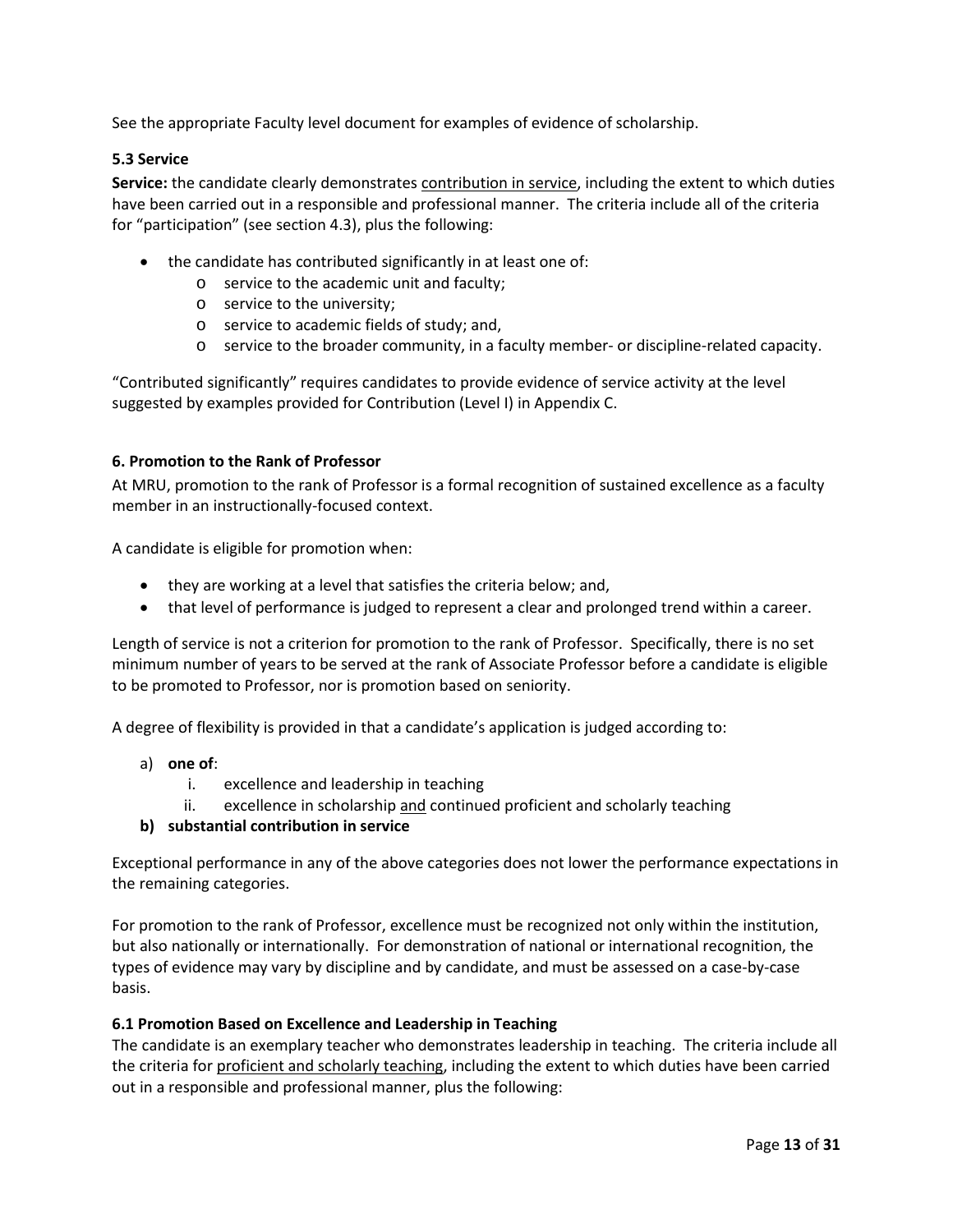See the appropriate Faculty level document for examples of evidence of scholarship.

## <span id="page-12-0"></span>**5.3 Service**

**Service:** the candidate clearly demonstrates contribution in service, including the extent to which duties have been carried out in a responsible and professional manner. The criteria include all of the criteria for "participation" (see section 4.3), plus the following:

- the candidate has contributed significantly in at least one of:
	- o service to the academic unit and faculty;
	- o service to the university;
	- o service to academic fields of study; and,
	- o service to the broader community, in a faculty member- or discipline-related capacity.

"Contributed significantly" requires candidates to provide evidence of service activity at the level suggested by examples provided for Contribution (Level I) in Appendix C.

### <span id="page-12-1"></span>**6. Promotion to the Rank of Professor**

At MRU, promotion to the rank of Professor is a formal recognition of sustained excellence as a faculty member in an instructionally-focused context.

A candidate is eligible for promotion when:

- they are working at a level that satisfies the criteria below; and,
- that level of performance is judged to represent a clear and prolonged trend within a career.

Length of service is not a criterion for promotion to the rank of Professor. Specifically, there is no set minimum number of years to be served at the rank of Associate Professor before a candidate is eligible to be promoted to Professor, nor is promotion based on seniority.

A degree of flexibility is provided in that a candidate's application is judged according to:

- a) **one of**:
	- i. excellence and leadership in teaching
	- ii. excellence in scholarship and continued proficient and scholarly teaching
- **b) substantial contribution in service**

Exceptional performance in any of the above categories does not lower the performance expectations in the remaining categories.

For promotion to the rank of Professor, excellence must be recognized not only within the institution, but also nationally or internationally. For demonstration of national or international recognition, the types of evidence may vary by discipline and by candidate, and must be assessed on a case-by-case basis.

### <span id="page-12-2"></span>**6.1 Promotion Based on Excellence and Leadership in Teaching**

The candidate is an exemplary teacher who demonstrates leadership in teaching. The criteria include all the criteria for proficient and scholarly teaching, including the extent to which duties have been carried out in a responsible and professional manner, plus the following: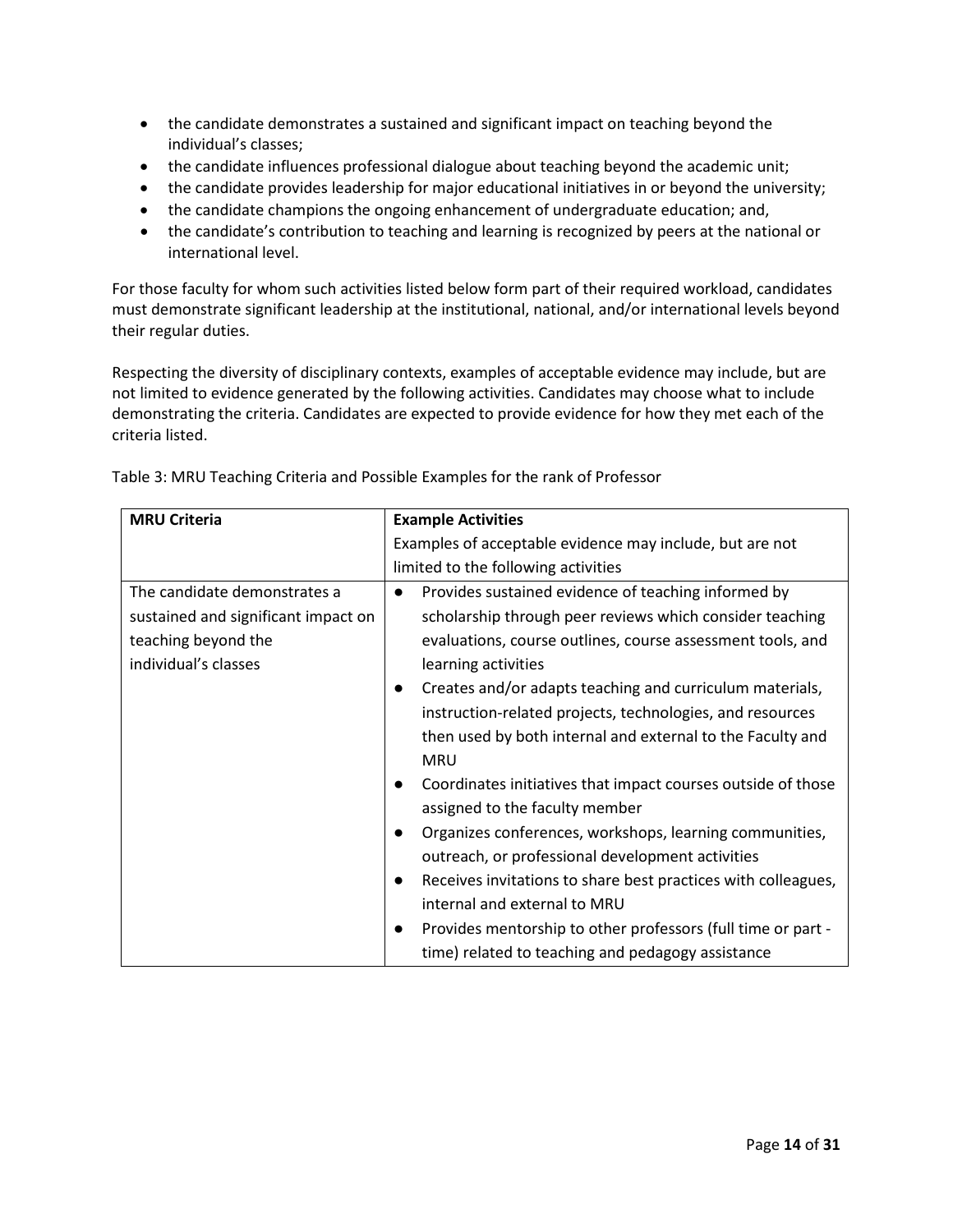- the candidate demonstrates a sustained and significant impact on teaching beyond the individual's classes;
- the candidate influences professional dialogue about teaching beyond the academic unit;
- the candidate provides leadership for major educational initiatives in or beyond the university;
- the candidate champions the ongoing enhancement of undergraduate education; and,
- the candidate's contribution to teaching and learning is recognized by peers at the national or international level.

For those faculty for whom such activities listed below form part of their required workload, candidates must demonstrate significant leadership at the institutional, national, and/or international levels beyond their regular duties.

Respecting the diversity of disciplinary contexts, examples of acceptable evidence may include, but are not limited to evidence generated by the following activities. Candidates may choose what to include demonstrating the criteria. Candidates are expected to provide evidence for how they met each of the criteria listed.

| <b>MRU Criteria</b>                 | <b>Example Activities</b>                                        |  |  |
|-------------------------------------|------------------------------------------------------------------|--|--|
|                                     | Examples of acceptable evidence may include, but are not         |  |  |
|                                     | limited to the following activities                              |  |  |
| The candidate demonstrates a        | Provides sustained evidence of teaching informed by<br>$\bullet$ |  |  |
| sustained and significant impact on | scholarship through peer reviews which consider teaching         |  |  |
| teaching beyond the                 | evaluations, course outlines, course assessment tools, and       |  |  |
| individual's classes                | learning activities                                              |  |  |
|                                     | Creates and/or adapts teaching and curriculum materials,         |  |  |
|                                     | instruction-related projects, technologies, and resources        |  |  |
|                                     | then used by both internal and external to the Faculty and       |  |  |
|                                     | <b>MRU</b>                                                       |  |  |
|                                     | Coordinates initiatives that impact courses outside of those     |  |  |
|                                     | assigned to the faculty member                                   |  |  |
|                                     | Organizes conferences, workshops, learning communities,          |  |  |
|                                     | outreach, or professional development activities                 |  |  |
|                                     | Receives invitations to share best practices with colleagues,    |  |  |
|                                     | internal and external to MRU                                     |  |  |
|                                     | Provides mentorship to other professors (full time or part -     |  |  |
|                                     | time) related to teaching and pedagogy assistance                |  |  |

Table 3: MRU Teaching Criteria and Possible Examples for the rank of Professor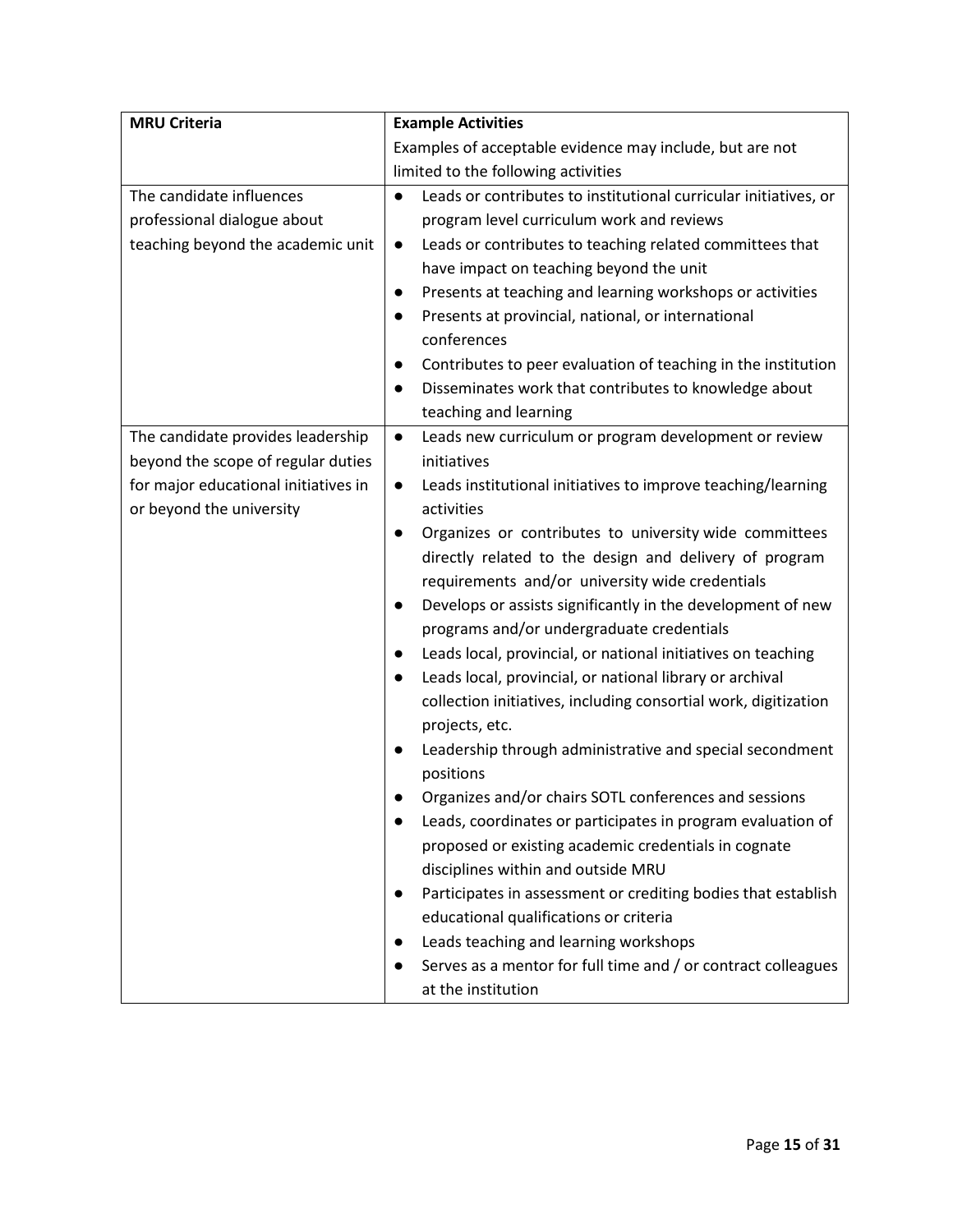| <b>MRU Criteria</b>                  | <b>Example Activities</b>                                                     |  |  |  |
|--------------------------------------|-------------------------------------------------------------------------------|--|--|--|
|                                      | Examples of acceptable evidence may include, but are not                      |  |  |  |
|                                      | limited to the following activities                                           |  |  |  |
| The candidate influences             | Leads or contributes to institutional curricular initiatives, or<br>$\bullet$ |  |  |  |
| professional dialogue about          | program level curriculum work and reviews                                     |  |  |  |
| teaching beyond the academic unit    | Leads or contributes to teaching related committees that<br>$\bullet$         |  |  |  |
|                                      | have impact on teaching beyond the unit                                       |  |  |  |
|                                      | Presents at teaching and learning workshops or activities<br>$\bullet$        |  |  |  |
|                                      | Presents at provincial, national, or international<br>$\bullet$               |  |  |  |
|                                      | conferences                                                                   |  |  |  |
|                                      | Contributes to peer evaluation of teaching in the institution<br>$\bullet$    |  |  |  |
|                                      | Disseminates work that contributes to knowledge about<br>$\bullet$            |  |  |  |
|                                      | teaching and learning                                                         |  |  |  |
| The candidate provides leadership    | Leads new curriculum or program development or review<br>$\bullet$            |  |  |  |
| beyond the scope of regular duties   | initiatives                                                                   |  |  |  |
| for major educational initiatives in | Leads institutional initiatives to improve teaching/learning<br>$\bullet$     |  |  |  |
| or beyond the university             | activities                                                                    |  |  |  |
|                                      | Organizes or contributes to university wide committees<br>$\bullet$           |  |  |  |
|                                      | directly related to the design and delivery of program                        |  |  |  |
|                                      | requirements and/or university wide credentials                               |  |  |  |
|                                      | Develops or assists significantly in the development of new<br>$\bullet$      |  |  |  |
|                                      | programs and/or undergraduate credentials                                     |  |  |  |
|                                      | Leads local, provincial, or national initiatives on teaching<br>$\bullet$     |  |  |  |
|                                      | Leads local, provincial, or national library or archival<br>$\bullet$         |  |  |  |
|                                      | collection initiatives, including consortial work, digitization               |  |  |  |
|                                      | projects, etc.                                                                |  |  |  |
|                                      | Leadership through administrative and special secondment<br>$\bullet$         |  |  |  |
|                                      | positions                                                                     |  |  |  |
|                                      | Organizes and/or chairs SOTL conferences and sessions                         |  |  |  |
|                                      | Leads, coordinates or participates in program evaluation of<br>$\bullet$      |  |  |  |
|                                      | proposed or existing academic credentials in cognate                          |  |  |  |
|                                      | disciplines within and outside MRU                                            |  |  |  |
|                                      | Participates in assessment or crediting bodies that establish<br>$\bullet$    |  |  |  |
|                                      | educational qualifications or criteria                                        |  |  |  |
|                                      | Leads teaching and learning workshops<br>$\bullet$                            |  |  |  |
|                                      | Serves as a mentor for full time and / or contract colleagues                 |  |  |  |
|                                      | at the institution                                                            |  |  |  |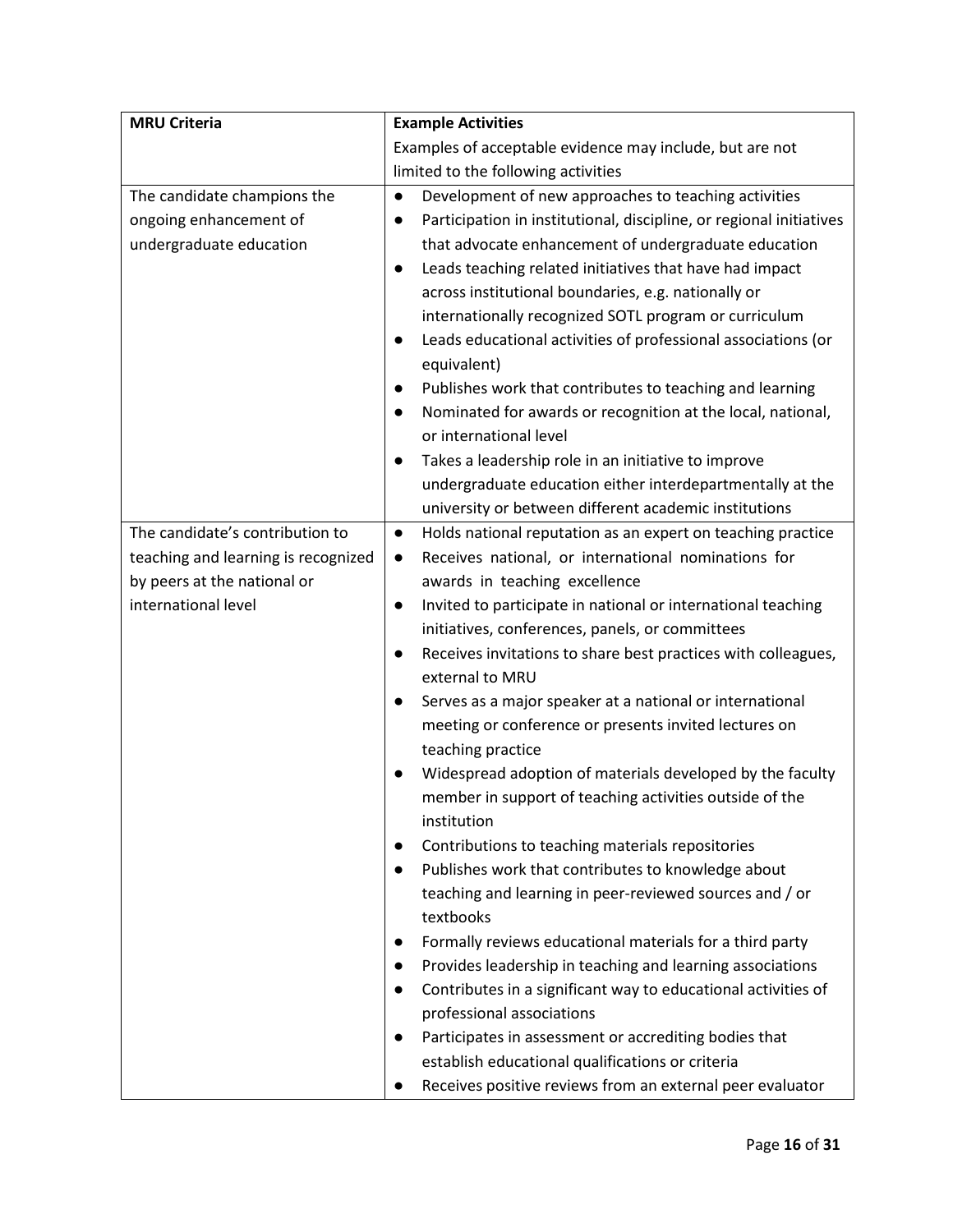| <b>MRU Criteria</b>                                                                       | <b>Example Activities</b>                                                                                                                                                                                                                                                                                                                                                                                                                                                                                                                                                                                                                                                                                                                                                                                                                                                                                                                                                                                                                                                                                                                                                                                                                                                                       |  |  |  |
|-------------------------------------------------------------------------------------------|-------------------------------------------------------------------------------------------------------------------------------------------------------------------------------------------------------------------------------------------------------------------------------------------------------------------------------------------------------------------------------------------------------------------------------------------------------------------------------------------------------------------------------------------------------------------------------------------------------------------------------------------------------------------------------------------------------------------------------------------------------------------------------------------------------------------------------------------------------------------------------------------------------------------------------------------------------------------------------------------------------------------------------------------------------------------------------------------------------------------------------------------------------------------------------------------------------------------------------------------------------------------------------------------------|--|--|--|
|                                                                                           | Examples of acceptable evidence may include, but are not                                                                                                                                                                                                                                                                                                                                                                                                                                                                                                                                                                                                                                                                                                                                                                                                                                                                                                                                                                                                                                                                                                                                                                                                                                        |  |  |  |
|                                                                                           | limited to the following activities                                                                                                                                                                                                                                                                                                                                                                                                                                                                                                                                                                                                                                                                                                                                                                                                                                                                                                                                                                                                                                                                                                                                                                                                                                                             |  |  |  |
| The candidate champions the<br>ongoing enhancement of<br>undergraduate education          | Development of new approaches to teaching activities<br>$\bullet$<br>Participation in institutional, discipline, or regional initiatives<br>$\bullet$<br>that advocate enhancement of undergraduate education<br>Leads teaching related initiatives that have had impact<br>$\bullet$<br>across institutional boundaries, e.g. nationally or<br>internationally recognized SOTL program or curriculum<br>Leads educational activities of professional associations (or<br>$\bullet$<br>equivalent)<br>Publishes work that contributes to teaching and learning<br>$\bullet$<br>Nominated for awards or recognition at the local, national,<br>$\bullet$<br>or international level<br>Takes a leadership role in an initiative to improve<br>$\bullet$<br>undergraduate education either interdepartmentally at the                                                                                                                                                                                                                                                                                                                                                                                                                                                                              |  |  |  |
| The candidate's contribution to                                                           | university or between different academic institutions                                                                                                                                                                                                                                                                                                                                                                                                                                                                                                                                                                                                                                                                                                                                                                                                                                                                                                                                                                                                                                                                                                                                                                                                                                           |  |  |  |
| teaching and learning is recognized<br>by peers at the national or<br>international level | Holds national reputation as an expert on teaching practice<br>$\bullet$<br>Receives national, or international nominations for<br>$\bullet$<br>awards in teaching excellence<br>Invited to participate in national or international teaching<br>$\bullet$<br>initiatives, conferences, panels, or committees<br>Receives invitations to share best practices with colleagues,<br>external to MRU<br>Serves as a major speaker at a national or international<br>meeting or conference or presents invited lectures on<br>teaching practice<br>Widespread adoption of materials developed by the faculty<br>member in support of teaching activities outside of the<br>institution<br>Contributions to teaching materials repositories<br>$\bullet$<br>Publishes work that contributes to knowledge about<br>teaching and learning in peer-reviewed sources and / or<br>textbooks<br>Formally reviews educational materials for a third party<br>Provides leadership in teaching and learning associations<br>$\bullet$<br>Contributes in a significant way to educational activities of<br>professional associations<br>Participates in assessment or accrediting bodies that<br>establish educational qualifications or criteria<br>Receives positive reviews from an external peer evaluator |  |  |  |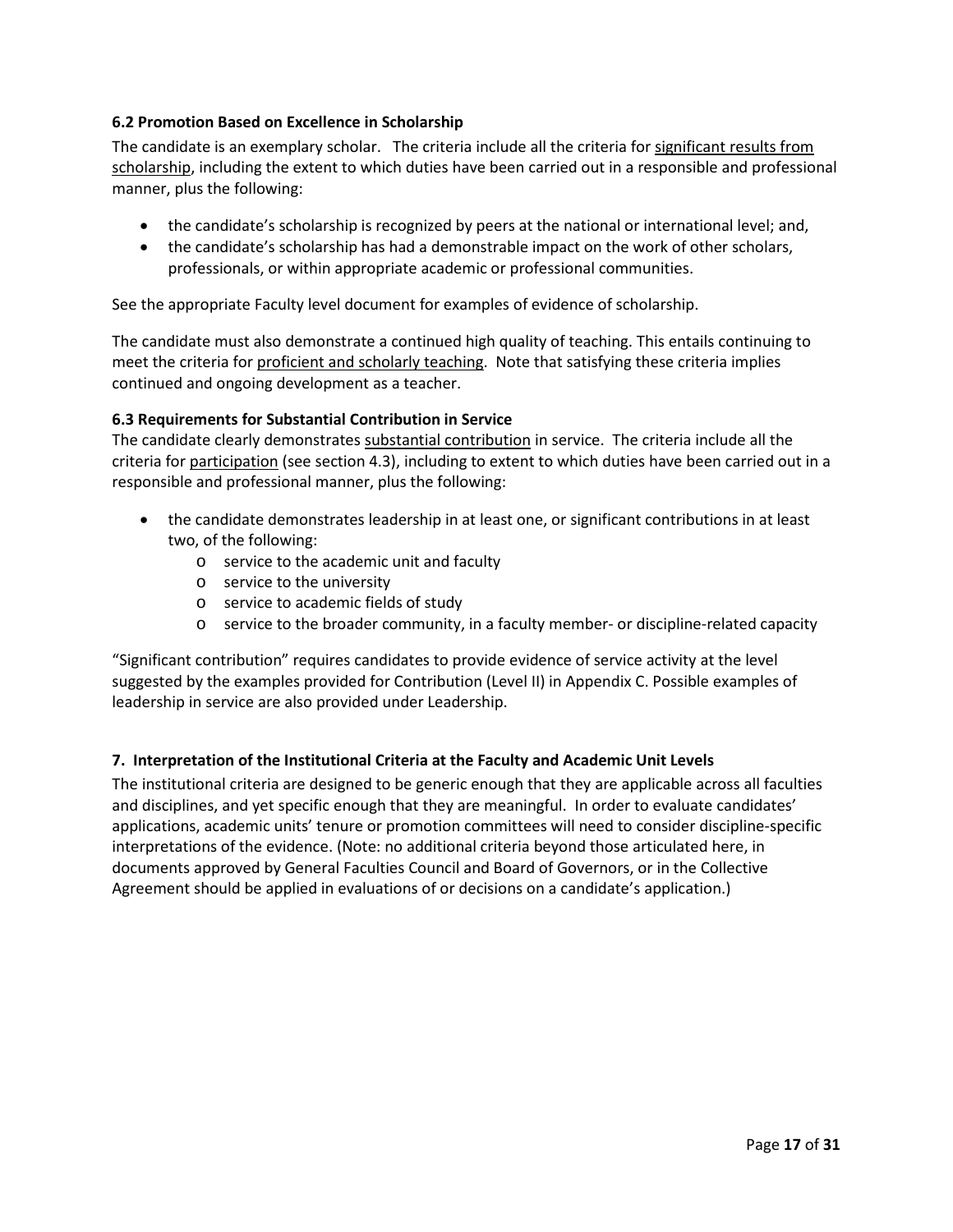## <span id="page-16-0"></span>**6.2 Promotion Based on Excellence in Scholarship**

The candidate is an exemplary scholar. The criteria include all the criteria for significant results from scholarship, including the extent to which duties have been carried out in a responsible and professional manner, plus the following:

- the candidate's scholarship is recognized by peers at the national or international level; and,
- the candidate's scholarship has had a demonstrable impact on the work of other scholars, professionals, or within appropriate academic or professional communities.

See the appropriate Faculty level document for examples of evidence of scholarship.

The candidate must also demonstrate a continued high quality of teaching. This entails continuing to meet the criteria for proficient and scholarly teaching. Note that satisfying these criteria implies continued and ongoing development as a teacher.

## <span id="page-16-1"></span>**6.3 Requirements for Substantial Contribution in Service**

The candidate clearly demonstrates substantial contribution in service. The criteria include all the criteria for participation (see section 4.3), including to extent to which duties have been carried out in a responsible and professional manner, plus the following:

- the candidate demonstrates leadership in at least one, or significant contributions in at least two, of the following:
	- o service to the academic unit and faculty
	- o service to the university
	- o service to academic fields of study
	- o service to the broader community, in a faculty member- or discipline-related capacity

"Significant contribution" requires candidates to provide evidence of service activity at the level suggested by the examples provided for Contribution (Level II) in Appendix C. Possible examples of leadership in service are also provided under Leadership.

### <span id="page-16-2"></span>**7. Interpretation of the Institutional Criteria at the Faculty and Academic Unit Levels**

The institutional criteria are designed to be generic enough that they are applicable across all faculties and disciplines, and yet specific enough that they are meaningful. In order to evaluate candidates' applications, academic units' tenure or promotion committees will need to consider discipline-specific interpretations of the evidence. (Note: no additional criteria beyond those articulated here, in documents approved by General Faculties Council and Board of Governors, or in the Collective Agreement should be applied in evaluations of or decisions on a candidate's application.)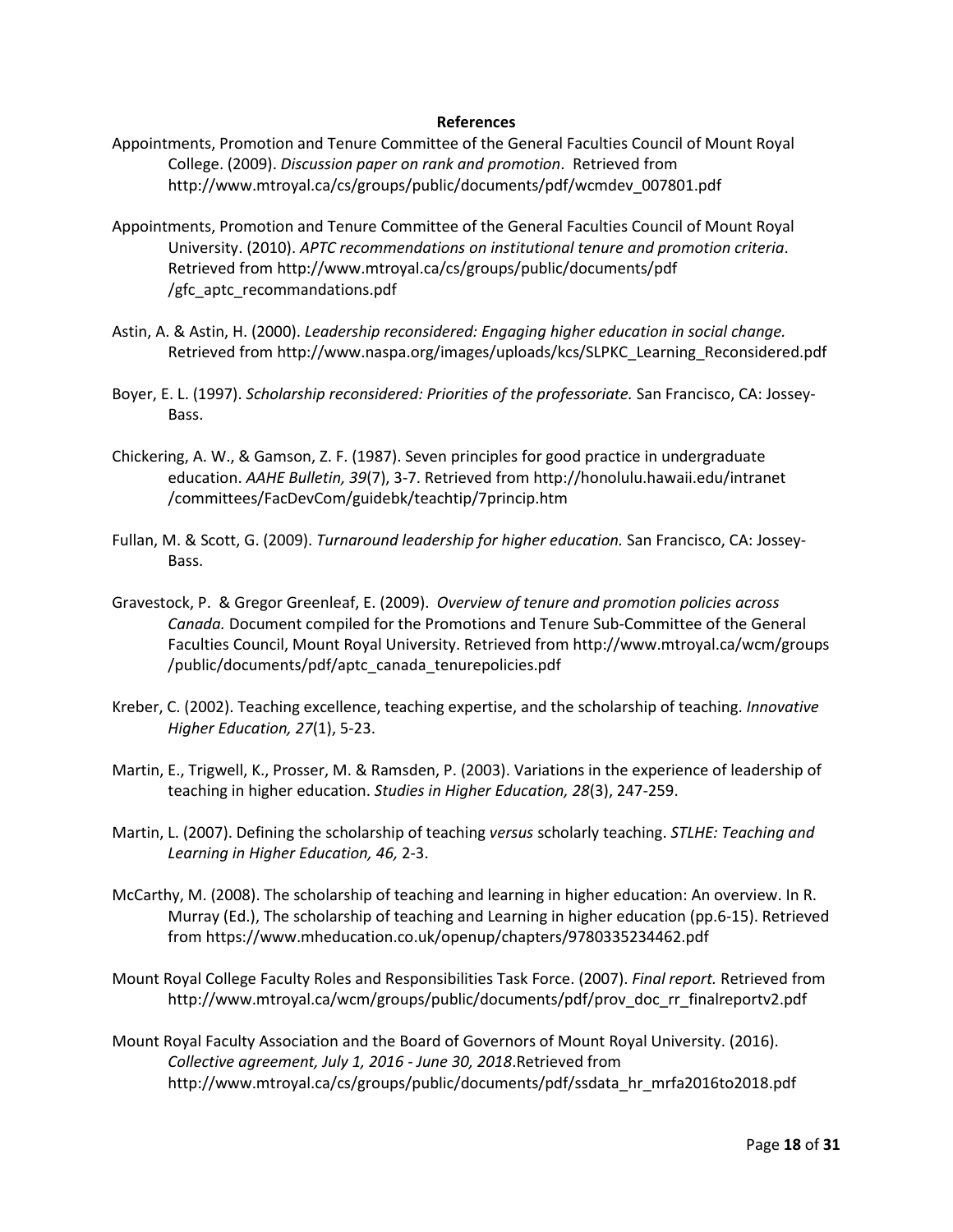#### **References**

- <span id="page-17-0"></span>Appointments, Promotion and Tenure Committee of the General Faculties Council of Mount Royal College. (2009). *Discussion paper on rank and promotion*. Retrieved from http://www.mtroyal.ca/cs/groups/public/documents/pdf/wcmdev\_007801.pdf
- Appointments, Promotion and Tenure Committee of the General Faculties Council of Mount Royal University. (2010). *APTC recommendations on institutional tenure and promotion criteria*. Retrieved from http://www.mtroyal.ca/cs/groups/public/documents/pdf /gfc\_aptc\_recommandations.pdf
- Astin, A. & Astin, H. (2000). *Leadership reconsidered: Engaging higher education in social change.* Retrieved from http://www.naspa.org/images/uploads/kcs/SLPKC\_Learning\_Reconsidered.pdf
- Boyer, E. L. (1997). *Scholarship reconsidered: Priorities of the professoriate.* San Francisco, CA: Jossey-Bass.
- Chickering, A. W., & Gamson, Z. F. (1987). Seven principles for good practice in undergraduate education. *AAHE Bulletin, 39*(7), 3-7. Retrieved from http://honolulu.hawaii.edu/intranet /committees/FacDevCom/guidebk/teachtip/7princip.htm
- Fullan, M. & Scott, G. (2009). *Turnaround leadership for higher education.* San Francisco, CA: Jossey-Bass.
- Gravestock, P. & Gregor Greenleaf, E. (2009). *Overview of tenure and promotion policies across Canada.* Document compiled for the Promotions and Tenure Sub-Committee of the General Faculties Council, Mount Royal University. Retrieved from http://www.mtroyal.ca/wcm/groups /public/documents/pdf/aptc\_canada\_tenurepolicies.pdf
- Kreber, C. (2002). Teaching excellence, teaching expertise, and the scholarship of teaching. *Innovative Higher Education, 27*(1), 5-23.
- Martin, E., Trigwell, K., Prosser, M. & Ramsden, P. (2003). Variations in the experience of leadership of teaching in higher education. *Studies in Higher Education, 28*(3), 247-259.
- Martin, L. (2007). Defining the scholarship of teaching *versus* scholarly teaching. *STLHE: Teaching and Learning in Higher Education, 46,* 2-3.
- McCarthy, M. (2008). The scholarship of teaching and learning in higher education: An overview. In R. Murray (Ed.), The scholarship of teaching and Learning in higher education (pp.6-15). Retrieved from https://www.mheducation.co.uk/openup/chapters/9780335234462.pdf
- Mount Royal College Faculty Roles and Responsibilities Task Force. (2007). *Final report.* Retrieved from http://www.mtroyal.ca/wcm/groups/public/documents/pdf/prov\_doc\_rr\_finalreportv2.pdf
- Mount Royal Faculty Association and the Board of Governors of Mount Royal University. (2016). *Collective agreement, July 1, 2016 - June 30, 2018*.Retrieved from http://www.mtroyal.ca/cs/groups/public/documents/pdf/ssdata\_hr\_mrfa2016to2018.pdf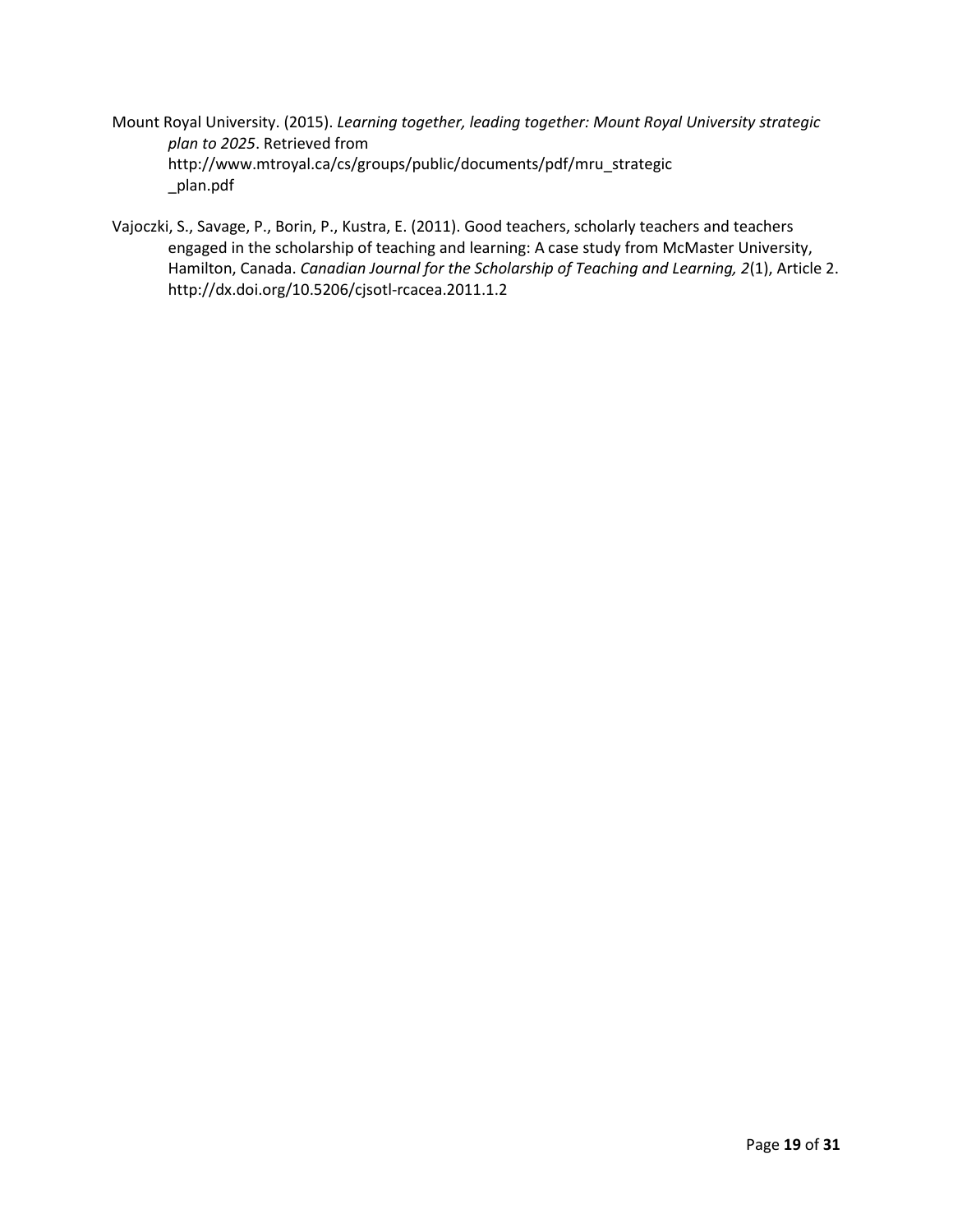- Mount Royal University. (2015). *Learning together, leading together: Mount Royal University strategic plan to 2025*. Retrieved from http://www.mtroyal.ca/cs/groups/public/documents/pdf/mru\_strategic \_plan.pdf
- Vajoczki, S., Savage, P., Borin, P., Kustra, E. (2011). Good teachers, scholarly teachers and teachers engaged in the scholarship of teaching and learning: A case study from McMaster University, Hamilton, Canada. *Canadian Journal for the Scholarship of Teaching and Learning, 2*(1), Article 2. http://dx.doi.org/10.5206/cjsotl-rcacea.2011.1.2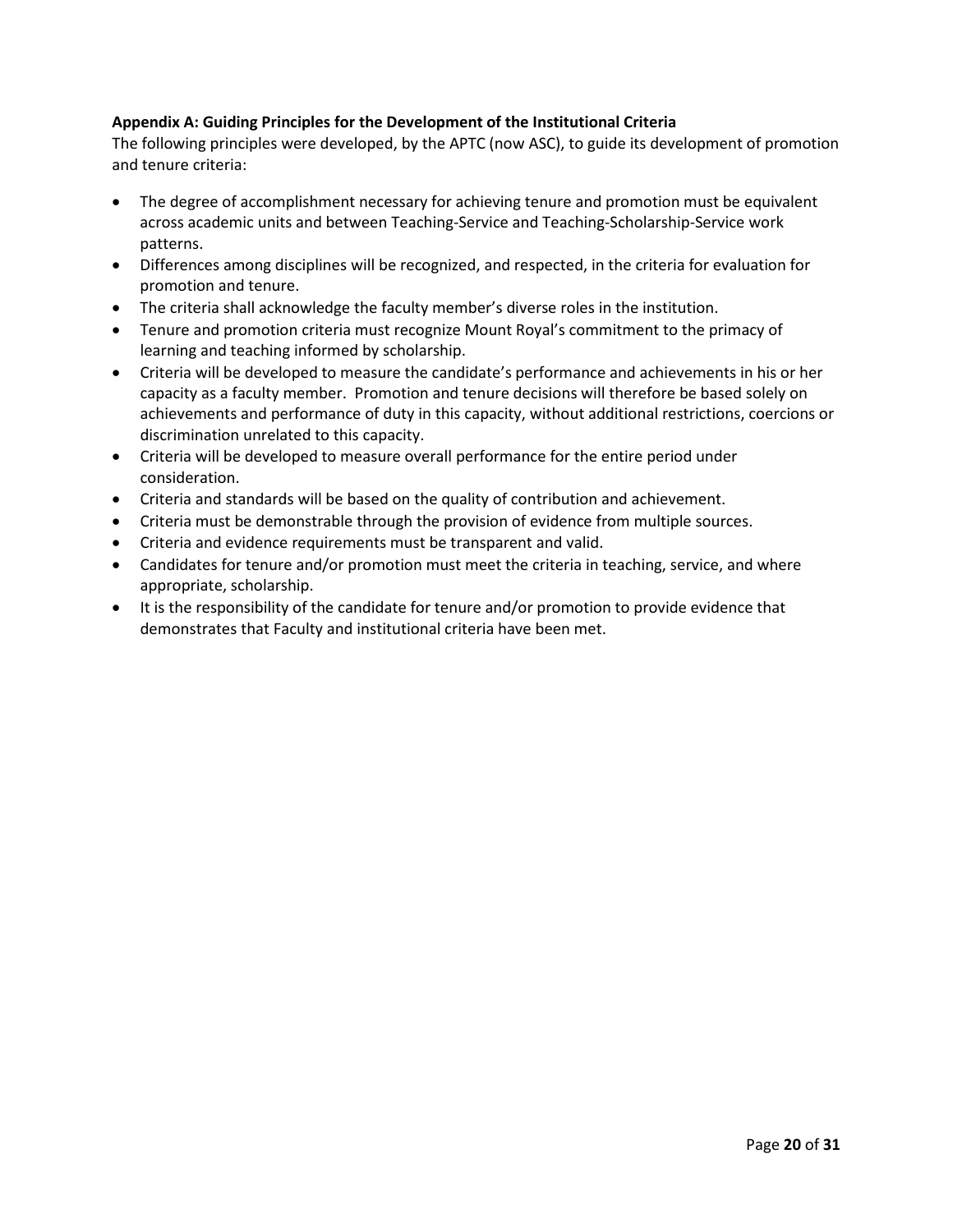## <span id="page-19-0"></span>**Appendix A: Guiding Principles for the Development of the Institutional Criteria**

The following principles were developed, by the APTC (now ASC), to guide its development of promotion and tenure criteria:

- The degree of accomplishment necessary for achieving tenure and promotion must be equivalent across academic units and between Teaching-Service and Teaching-Scholarship-Service work patterns.
- Differences among disciplines will be recognized, and respected, in the criteria for evaluation for promotion and tenure.
- The criteria shall acknowledge the faculty member's diverse roles in the institution.
- Tenure and promotion criteria must recognize Mount Royal's commitment to the primacy of learning and teaching informed by scholarship.
- Criteria will be developed to measure the candidate's performance and achievements in his or her capacity as a faculty member. Promotion and tenure decisions will therefore be based solely on achievements and performance of duty in this capacity, without additional restrictions, coercions or discrimination unrelated to this capacity.
- Criteria will be developed to measure overall performance for the entire period under consideration.
- Criteria and standards will be based on the quality of contribution and achievement.
- Criteria must be demonstrable through the provision of evidence from multiple sources.
- Criteria and evidence requirements must be transparent and valid.
- Candidates for tenure and/or promotion must meet the criteria in teaching, service, and where appropriate, scholarship.
- It is the responsibility of the candidate for tenure and/or promotion to provide evidence that demonstrates that Faculty and institutional criteria have been met.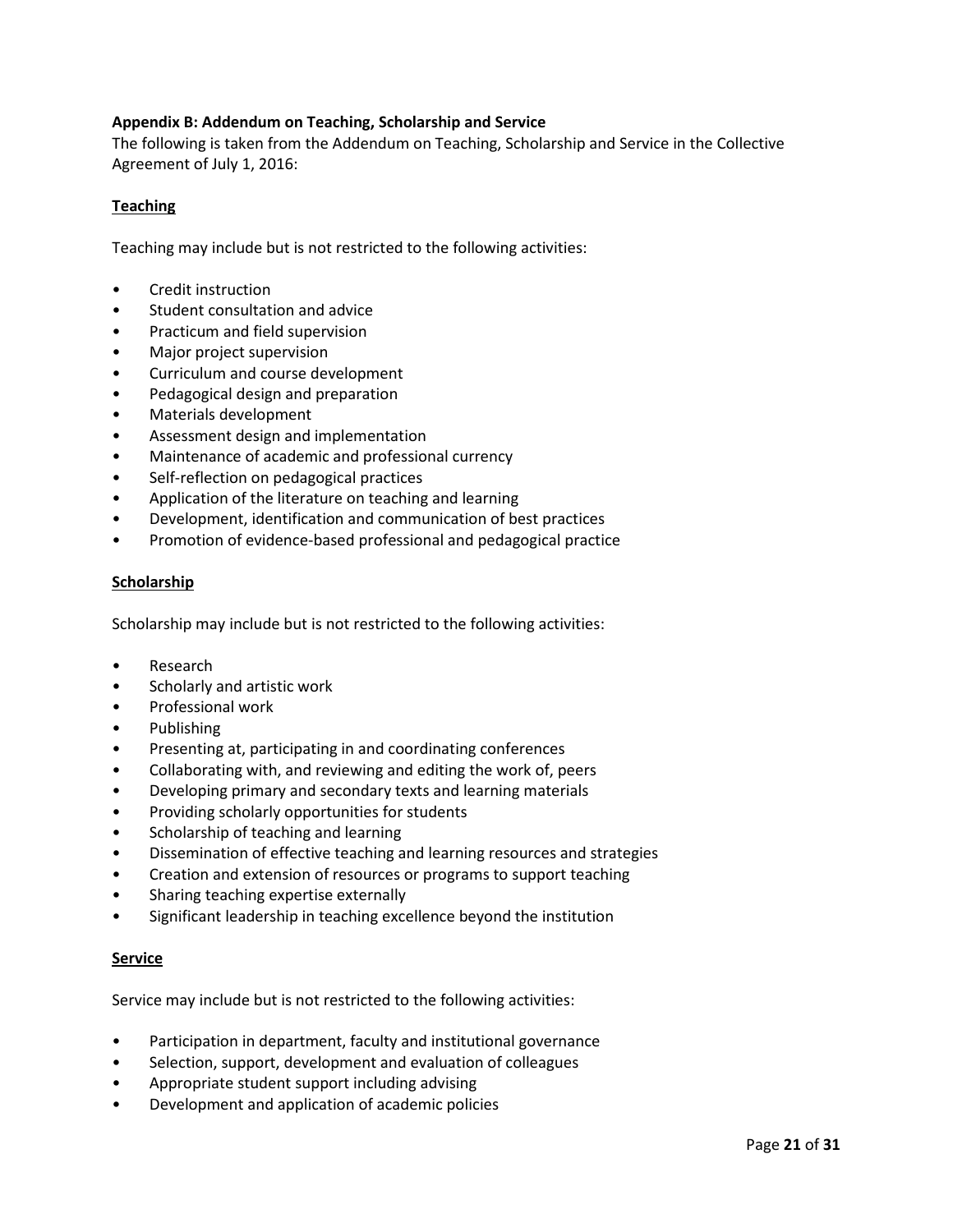## <span id="page-20-0"></span>**Appendix B: Addendum on Teaching, Scholarship and Service**

The following is taken from the Addendum on Teaching, Scholarship and Service in the Collective Agreement of July 1, 2016:

### **Teaching**

Teaching may include but is not restricted to the following activities:

- Credit instruction
- Student consultation and advice
- Practicum and field supervision
- Major project supervision
- Curriculum and course development
- Pedagogical design and preparation
- Materials development
- Assessment design and implementation
- Maintenance of academic and professional currency
- Self-reflection on pedagogical practices
- Application of the literature on teaching and learning
- Development, identification and communication of best practices
- Promotion of evidence-based professional and pedagogical practice

### **Scholarship**

Scholarship may include but is not restricted to the following activities:

- Research
- Scholarly and artistic work
- Professional work
- Publishing
- Presenting at, participating in and coordinating conferences
- Collaborating with, and reviewing and editing the work of, peers
- Developing primary and secondary texts and learning materials
- Providing scholarly opportunities for students
- Scholarship of teaching and learning
- Dissemination of effective teaching and learning resources and strategies
- Creation and extension of resources or programs to support teaching
- Sharing teaching expertise externally
- Significant leadership in teaching excellence beyond the institution

### **Service**

Service may include but is not restricted to the following activities:

- Participation in department, faculty and institutional governance
- Selection, support, development and evaluation of colleagues
- Appropriate student support including advising
- Development and application of academic policies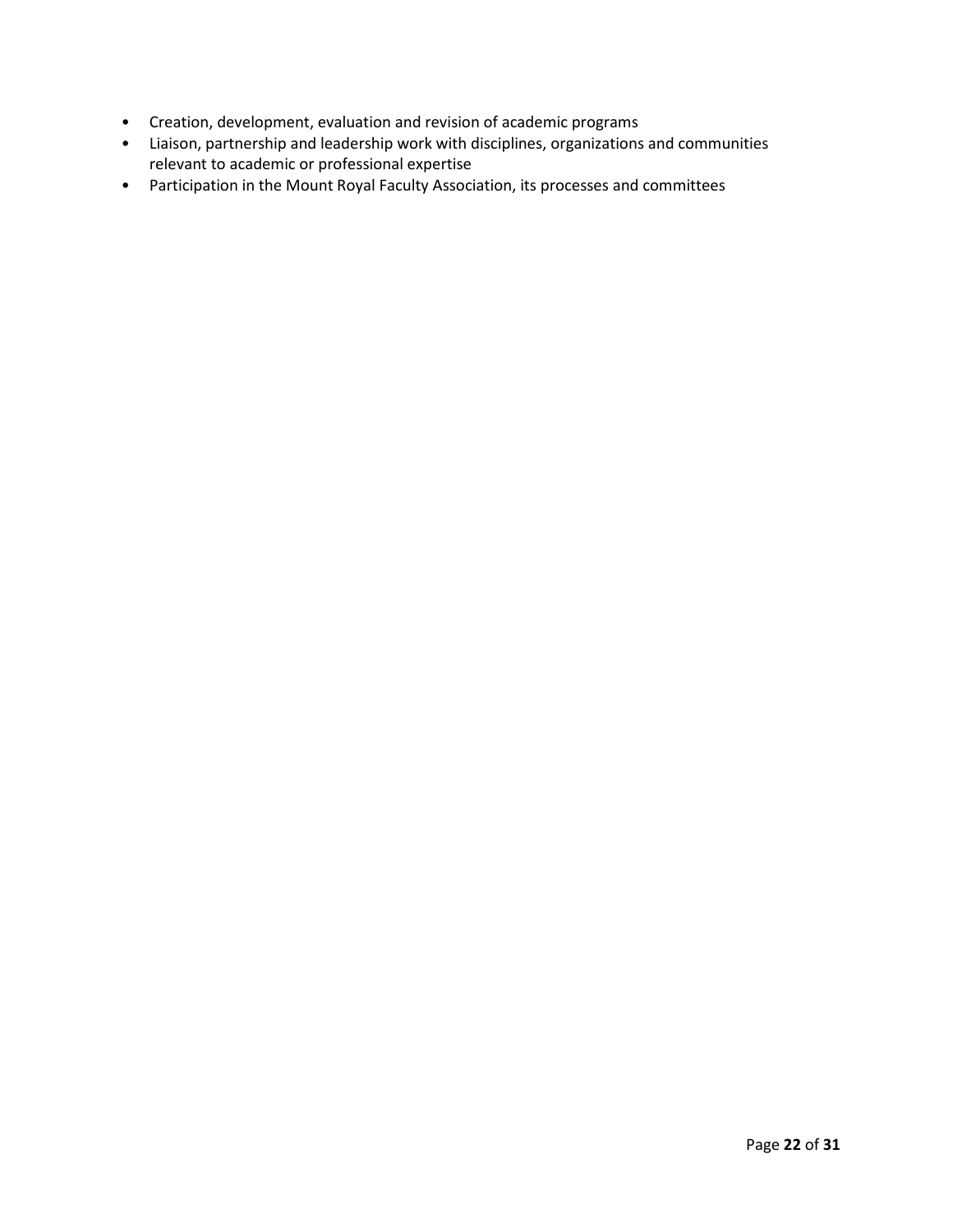- Creation, development, evaluation and revision of academic programs
- Liaison, partnership and leadership work with disciplines, organizations and communities relevant to academic or professional expertise
- Participation in the Mount Royal Faculty Association, its processes and committees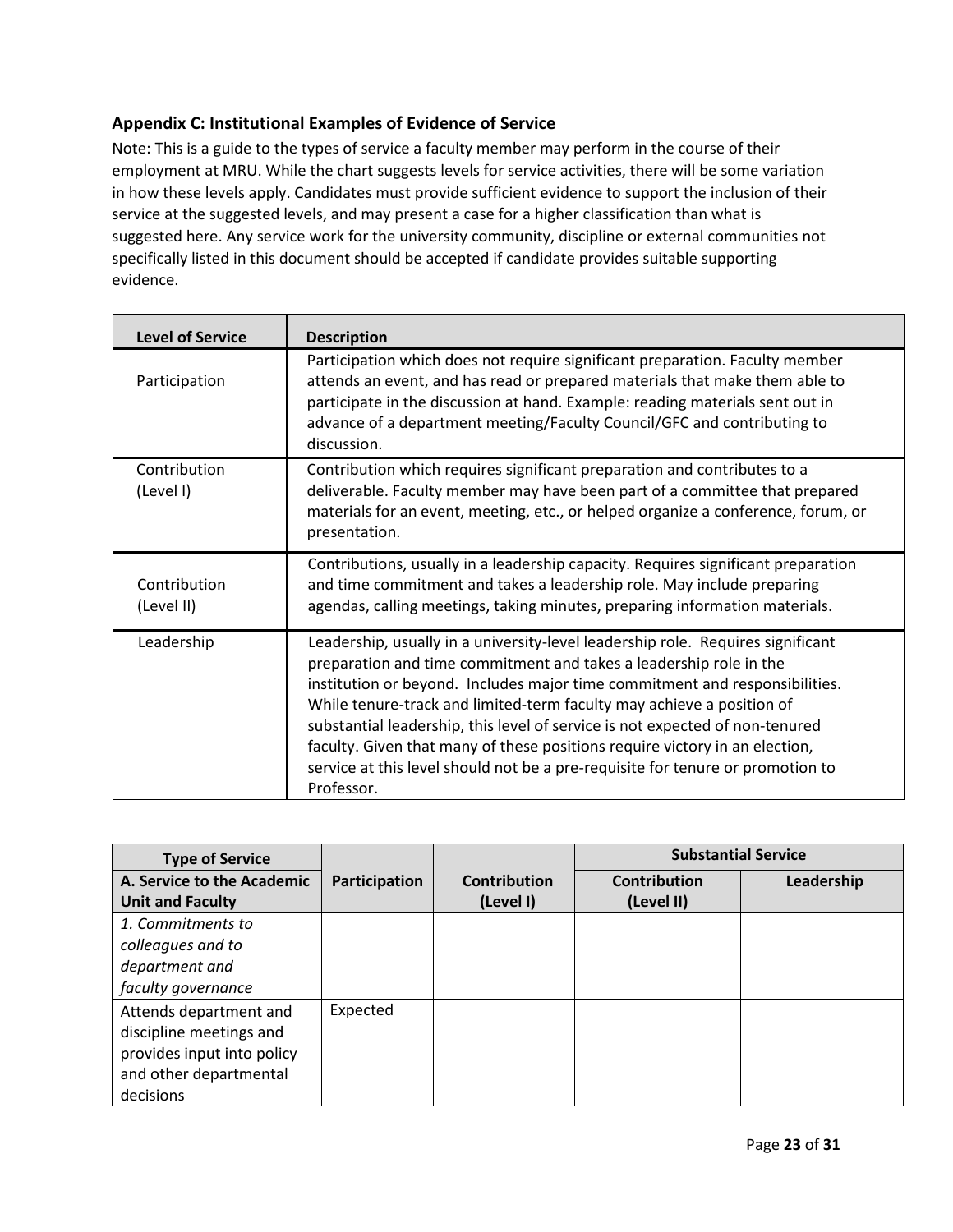# <span id="page-22-0"></span>**Appendix C: Institutional Examples of Evidence of Service**

Note: This is a guide to the types of service a faculty member may perform in the course of their employment at MRU. While the chart suggests levels for service activities, there will be some variation in how these levels apply. Candidates must provide sufficient evidence to support the inclusion of their service at the suggested levels, and may present a case for a higher classification than what is suggested here. Any service work for the university community, discipline or external communities not specifically listed in this document should be accepted if candidate provides suitable supporting evidence.

| <b>Level of Service</b>    | <b>Description</b>                                                                                                                                                                                                                                                                                                                                                                                                                                                                                                                                                           |
|----------------------------|------------------------------------------------------------------------------------------------------------------------------------------------------------------------------------------------------------------------------------------------------------------------------------------------------------------------------------------------------------------------------------------------------------------------------------------------------------------------------------------------------------------------------------------------------------------------------|
| Participation              | Participation which does not require significant preparation. Faculty member<br>attends an event, and has read or prepared materials that make them able to<br>participate in the discussion at hand. Example: reading materials sent out in<br>advance of a department meeting/Faculty Council/GFC and contributing to<br>discussion.                                                                                                                                                                                                                                       |
| Contribution<br>(Level I)  | Contribution which requires significant preparation and contributes to a<br>deliverable. Faculty member may have been part of a committee that prepared<br>materials for an event, meeting, etc., or helped organize a conference, forum, or<br>presentation.                                                                                                                                                                                                                                                                                                                |
| Contribution<br>(Level II) | Contributions, usually in a leadership capacity. Requires significant preparation<br>and time commitment and takes a leadership role. May include preparing<br>agendas, calling meetings, taking minutes, preparing information materials.                                                                                                                                                                                                                                                                                                                                   |
| Leadership                 | Leadership, usually in a university-level leadership role. Requires significant<br>preparation and time commitment and takes a leadership role in the<br>institution or beyond. Includes major time commitment and responsibilities.<br>While tenure-track and limited-term faculty may achieve a position of<br>substantial leadership, this level of service is not expected of non-tenured<br>faculty. Given that many of these positions require victory in an election,<br>service at this level should not be a pre-requisite for tenure or promotion to<br>Professor. |

| <b>Type of Service</b>     |               |                     | <b>Substantial Service</b> |            |
|----------------------------|---------------|---------------------|----------------------------|------------|
| A. Service to the Academic | Participation | <b>Contribution</b> | <b>Contribution</b>        | Leadership |
| <b>Unit and Faculty</b>    |               | (Level I)           | (Level II)                 |            |
| 1. Commitments to          |               |                     |                            |            |
| colleagues and to          |               |                     |                            |            |
| department and             |               |                     |                            |            |
| faculty governance         |               |                     |                            |            |
| Attends department and     | Expected      |                     |                            |            |
| discipline meetings and    |               |                     |                            |            |
| provides input into policy |               |                     |                            |            |
| and other departmental     |               |                     |                            |            |
| decisions                  |               |                     |                            |            |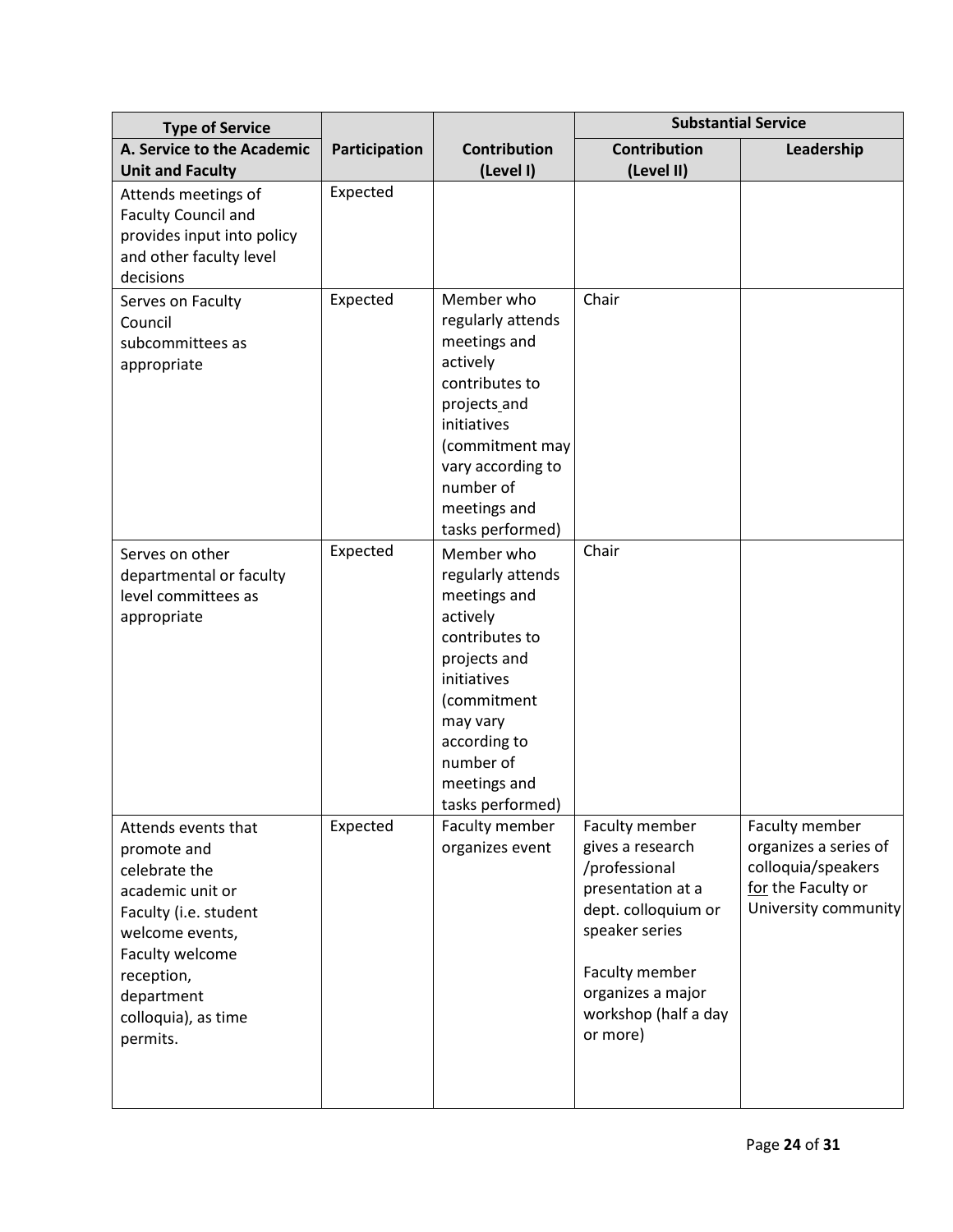| <b>Type of Service</b>                                                                                                                                                                                |               |                                                                                                                                                                                                          | <b>Substantial Service</b>                                                                                                                                                                   |                                                                                                             |  |
|-------------------------------------------------------------------------------------------------------------------------------------------------------------------------------------------------------|---------------|----------------------------------------------------------------------------------------------------------------------------------------------------------------------------------------------------------|----------------------------------------------------------------------------------------------------------------------------------------------------------------------------------------------|-------------------------------------------------------------------------------------------------------------|--|
| A. Service to the Academic<br><b>Unit and Faculty</b>                                                                                                                                                 | Participation | <b>Contribution</b><br>(Level I)                                                                                                                                                                         | <b>Contribution</b><br>(Level II)                                                                                                                                                            | Leadership                                                                                                  |  |
| Attends meetings of<br><b>Faculty Council and</b><br>provides input into policy<br>and other faculty level<br>decisions                                                                               | Expected      |                                                                                                                                                                                                          |                                                                                                                                                                                              |                                                                                                             |  |
| Serves on Faculty<br>Council<br>subcommittees as<br>appropriate                                                                                                                                       | Expected      | Member who<br>regularly attends<br>meetings and<br>actively<br>contributes to<br>projects and<br>initiatives<br>(commitment may<br>vary according to<br>number of<br>meetings and<br>tasks performed)    | Chair                                                                                                                                                                                        |                                                                                                             |  |
| Serves on other<br>departmental or faculty<br>level committees as<br>appropriate                                                                                                                      | Expected      | Member who<br>regularly attends<br>meetings and<br>actively<br>contributes to<br>projects and<br>initiatives<br>(commitment<br>may vary<br>according to<br>number of<br>meetings and<br>tasks performed) | Chair                                                                                                                                                                                        |                                                                                                             |  |
| Attends events that<br>promote and<br>celebrate the<br>academic unit or<br>Faculty (i.e. student<br>welcome events,<br>Faculty welcome<br>reception,<br>department<br>colloquia), as time<br>permits. | Expected      | Faculty member<br>organizes event                                                                                                                                                                        | Faculty member<br>gives a research<br>/professional<br>presentation at a<br>dept. colloquium or<br>speaker series<br>Faculty member<br>organizes a major<br>workshop (half a day<br>or more) | Faculty member<br>organizes a series of<br>colloquia/speakers<br>for the Faculty or<br>University community |  |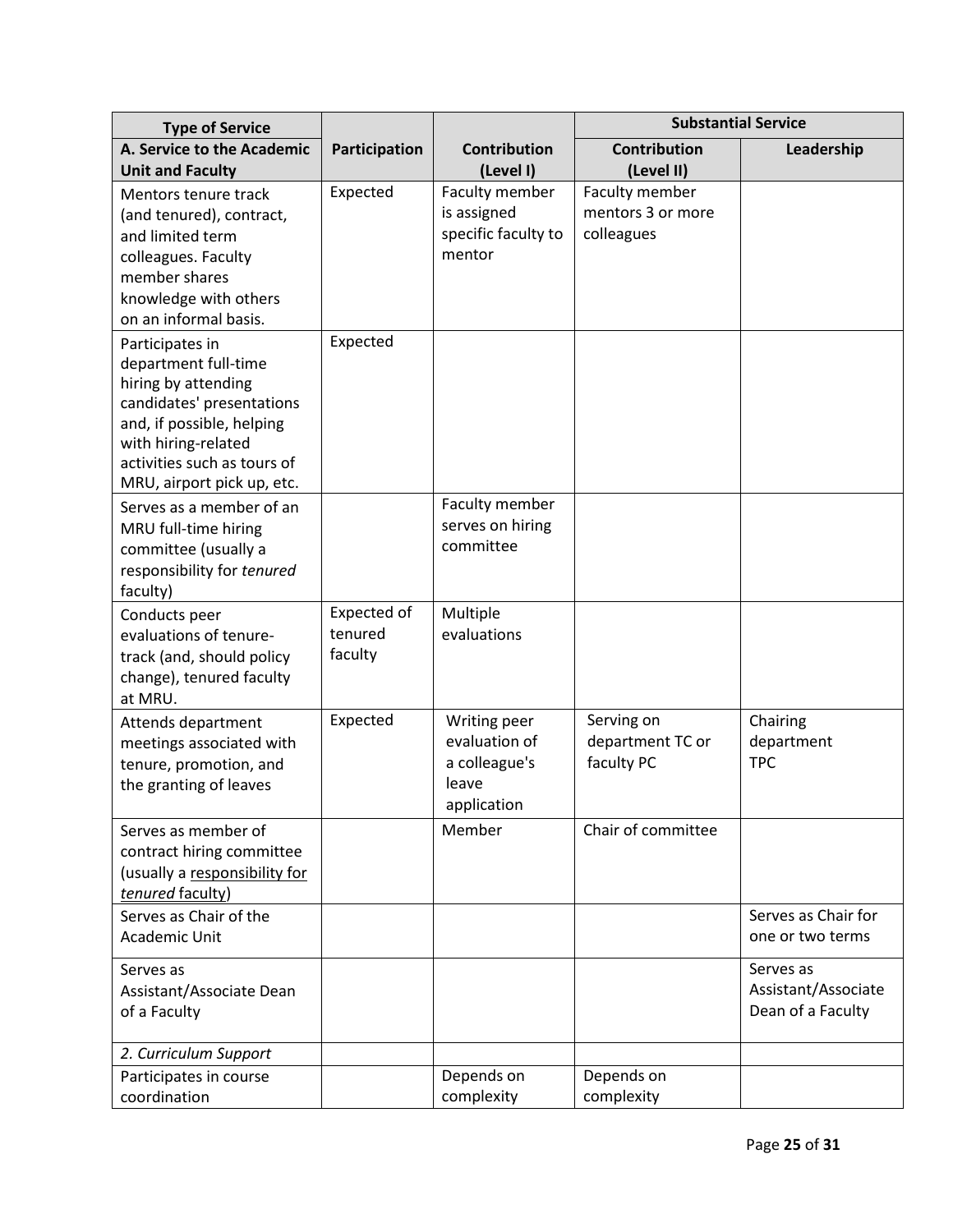| <b>Type of Service</b>                                                                                                                                                                                       |                                   |                                                                        | <b>Substantial Service</b>                        |                                                       |
|--------------------------------------------------------------------------------------------------------------------------------------------------------------------------------------------------------------|-----------------------------------|------------------------------------------------------------------------|---------------------------------------------------|-------------------------------------------------------|
| A. Service to the Academic<br><b>Unit and Faculty</b>                                                                                                                                                        | Participation                     | <b>Contribution</b><br>(Level I)                                       | <b>Contribution</b><br>(Level II)                 | Leadership                                            |
| Mentors tenure track<br>(and tenured), contract,<br>and limited term<br>colleagues. Faculty<br>member shares<br>knowledge with others<br>on an informal basis.                                               | Expected                          | Faculty member<br>is assigned<br>specific faculty to<br>mentor         | Faculty member<br>mentors 3 or more<br>colleagues |                                                       |
| Participates in<br>department full-time<br>hiring by attending<br>candidates' presentations<br>and, if possible, helping<br>with hiring-related<br>activities such as tours of<br>MRU, airport pick up, etc. | Expected                          |                                                                        |                                                   |                                                       |
| Serves as a member of an<br>MRU full-time hiring<br>committee (usually a<br>responsibility for tenured<br>faculty)                                                                                           |                                   | Faculty member<br>serves on hiring<br>committee                        |                                                   |                                                       |
| Conducts peer<br>evaluations of tenure-<br>track (and, should policy<br>change), tenured faculty<br>at MRU.                                                                                                  | Expected of<br>tenured<br>faculty | Multiple<br>evaluations                                                |                                                   |                                                       |
| Attends department<br>meetings associated with<br>tenure, promotion, and<br>the granting of leaves                                                                                                           | Expected                          | Writing peer<br>evaluation of<br>a colleague's<br>leave<br>application | Serving on<br>department TC or<br>faculty PC      | Chairing<br>department<br><b>TPC</b>                  |
| Serves as member of<br>contract hiring committee<br>(usually a responsibility for<br>tenured faculty)                                                                                                        |                                   | Member                                                                 | Chair of committee                                |                                                       |
| Serves as Chair of the<br><b>Academic Unit</b>                                                                                                                                                               |                                   |                                                                        |                                                   | Serves as Chair for<br>one or two terms               |
| Serves as<br>Assistant/Associate Dean<br>of a Faculty                                                                                                                                                        |                                   |                                                                        |                                                   | Serves as<br>Assistant/Associate<br>Dean of a Faculty |
| 2. Curriculum Support                                                                                                                                                                                        |                                   |                                                                        |                                                   |                                                       |
| Participates in course<br>coordination                                                                                                                                                                       |                                   | Depends on<br>complexity                                               | Depends on<br>complexity                          |                                                       |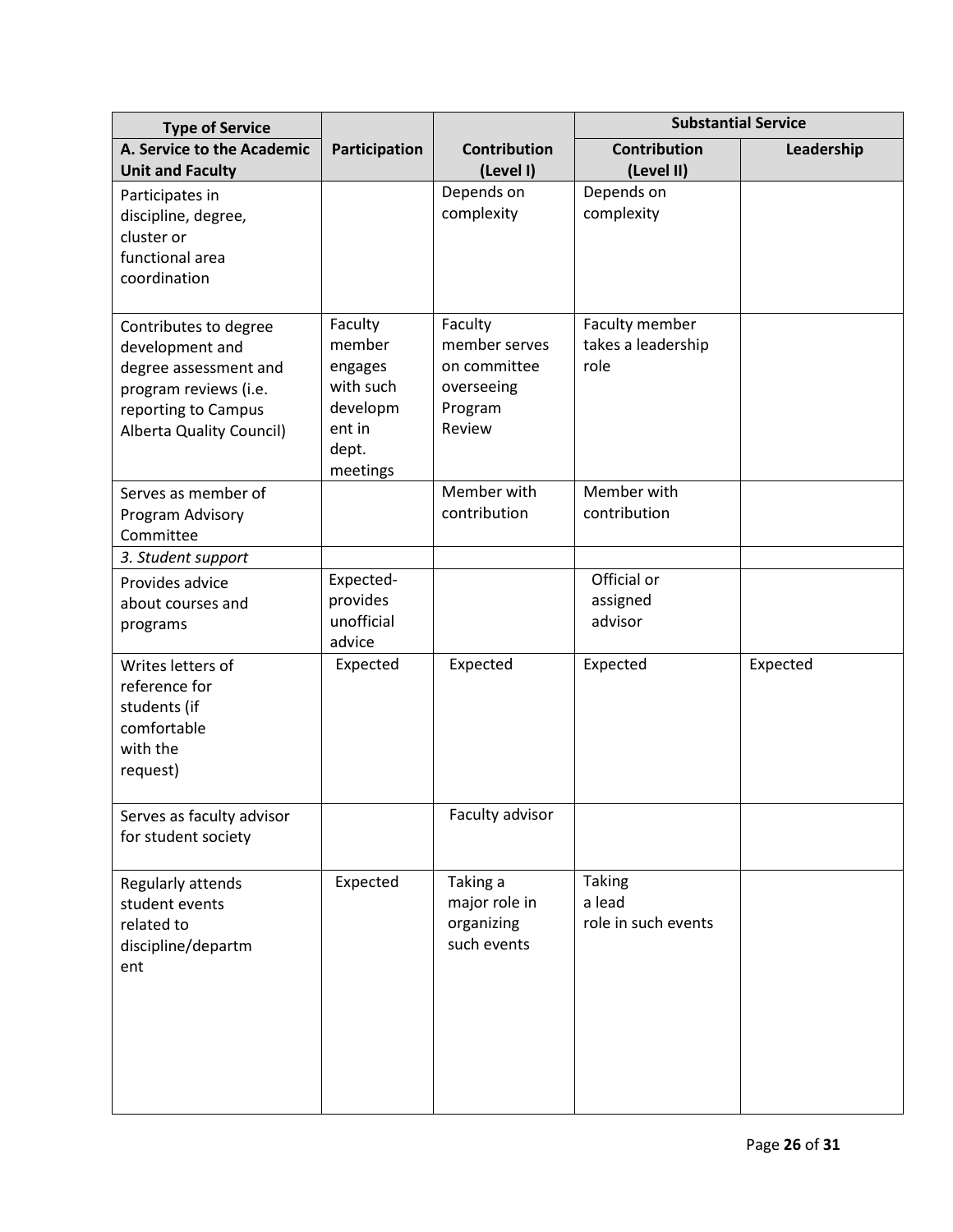| <b>Type of Service</b>                                                                                                                        |                                                                                      |                                                                             | <b>Substantial Service</b>                     |            |  |
|-----------------------------------------------------------------------------------------------------------------------------------------------|--------------------------------------------------------------------------------------|-----------------------------------------------------------------------------|------------------------------------------------|------------|--|
| A. Service to the Academic<br><b>Unit and Faculty</b>                                                                                         | Participation                                                                        | <b>Contribution</b><br>(Level I)                                            | <b>Contribution</b><br>(Level II)              | Leadership |  |
| Participates in<br>discipline, degree,<br>cluster or<br>functional area<br>coordination                                                       |                                                                                      | Depends on<br>complexity                                                    | Depends on<br>complexity                       |            |  |
| Contributes to degree<br>development and<br>degree assessment and<br>program reviews (i.e.<br>reporting to Campus<br>Alberta Quality Council) | Faculty<br>member<br>engages<br>with such<br>developm<br>ent in<br>dept.<br>meetings | Faculty<br>member serves<br>on committee<br>overseeing<br>Program<br>Review | Faculty member<br>takes a leadership<br>role   |            |  |
| Serves as member of<br>Program Advisory<br>Committee                                                                                          |                                                                                      | Member with<br>contribution                                                 | Member with<br>contribution                    |            |  |
| 3. Student support                                                                                                                            |                                                                                      |                                                                             |                                                |            |  |
| Provides advice<br>about courses and<br>programs                                                                                              | Expected-<br>provides<br>unofficial<br>advice                                        |                                                                             | Official or<br>assigned<br>advisor             |            |  |
| Writes letters of<br>reference for<br>students (if<br>comfortable<br>with the<br>request)                                                     | Expected                                                                             | Expected                                                                    | Expected                                       | Expected   |  |
| Serves as faculty advisor<br>for student society                                                                                              |                                                                                      | Faculty advisor                                                             |                                                |            |  |
| Regularly attends<br>student events<br>related to<br>discipline/departm<br>ent                                                                | Expected                                                                             | Taking a<br>major role in<br>organizing<br>such events                      | <b>Taking</b><br>a lead<br>role in such events |            |  |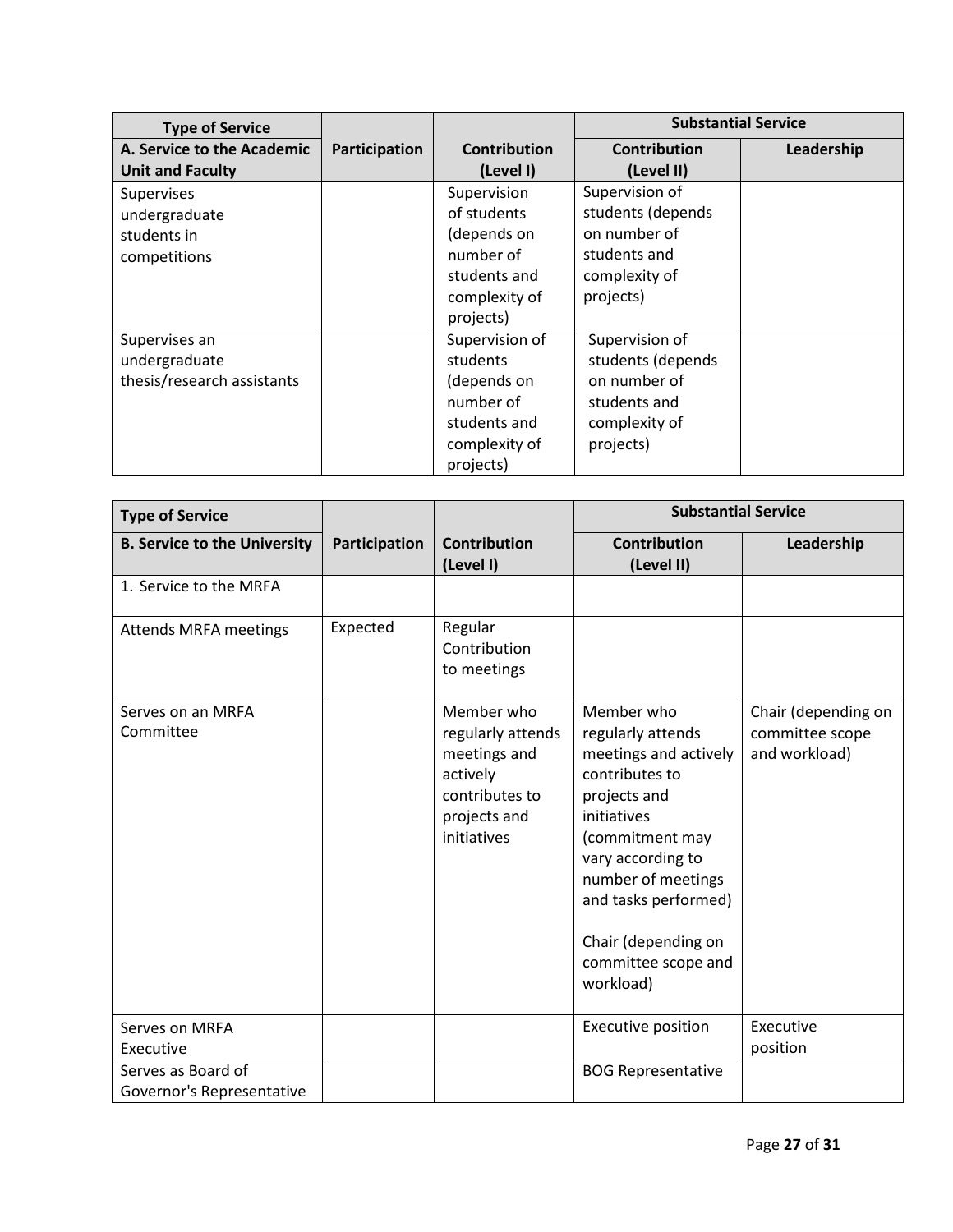| <b>Type of Service</b>                                       |               |                                                                                                      | <b>Substantial Service</b>                                                                        |            |
|--------------------------------------------------------------|---------------|------------------------------------------------------------------------------------------------------|---------------------------------------------------------------------------------------------------|------------|
| A. Service to the Academic<br><b>Unit and Faculty</b>        | Participation | <b>Contribution</b><br>(Level I)                                                                     | <b>Contribution</b><br>(Level II)                                                                 | Leadership |
| Supervises<br>undergraduate<br>students in<br>competitions   |               | Supervision<br>of students<br>(depends on<br>number of<br>students and<br>complexity of<br>projects) | Supervision of<br>students (depends<br>on number of<br>students and<br>complexity of<br>projects) |            |
| Supervises an<br>undergraduate<br>thesis/research assistants |               | Supervision of<br>students<br>(depends on<br>number of<br>students and<br>complexity of<br>projects) | Supervision of<br>students (depends<br>on number of<br>students and<br>complexity of<br>projects) |            |

| <b>Type of Service</b>                          |               |                                                                                                              | <b>Substantial Service</b>                                                                                                                                                                                                                                 |                                                         |
|-------------------------------------------------|---------------|--------------------------------------------------------------------------------------------------------------|------------------------------------------------------------------------------------------------------------------------------------------------------------------------------------------------------------------------------------------------------------|---------------------------------------------------------|
| <b>B. Service to the University</b>             | Participation | <b>Contribution</b><br>(Level I)                                                                             | <b>Contribution</b><br>(Level II)                                                                                                                                                                                                                          | Leadership                                              |
| 1. Service to the MRFA                          |               |                                                                                                              |                                                                                                                                                                                                                                                            |                                                         |
| Attends MRFA meetings                           | Expected      | Regular<br>Contribution<br>to meetings                                                                       |                                                                                                                                                                                                                                                            |                                                         |
| Serves on an MRFA<br>Committee                  |               | Member who<br>regularly attends<br>meetings and<br>actively<br>contributes to<br>projects and<br>initiatives | Member who<br>regularly attends<br>meetings and actively<br>contributes to<br>projects and<br>initiatives<br>(commitment may<br>vary according to<br>number of meetings<br>and tasks performed)<br>Chair (depending on<br>committee scope and<br>workload) | Chair (depending on<br>committee scope<br>and workload) |
| Serves on MRFA<br>Executive                     |               |                                                                                                              | Executive position                                                                                                                                                                                                                                         | Executive<br>position                                   |
| Serves as Board of<br>Governor's Representative |               |                                                                                                              | <b>BOG Representative</b>                                                                                                                                                                                                                                  |                                                         |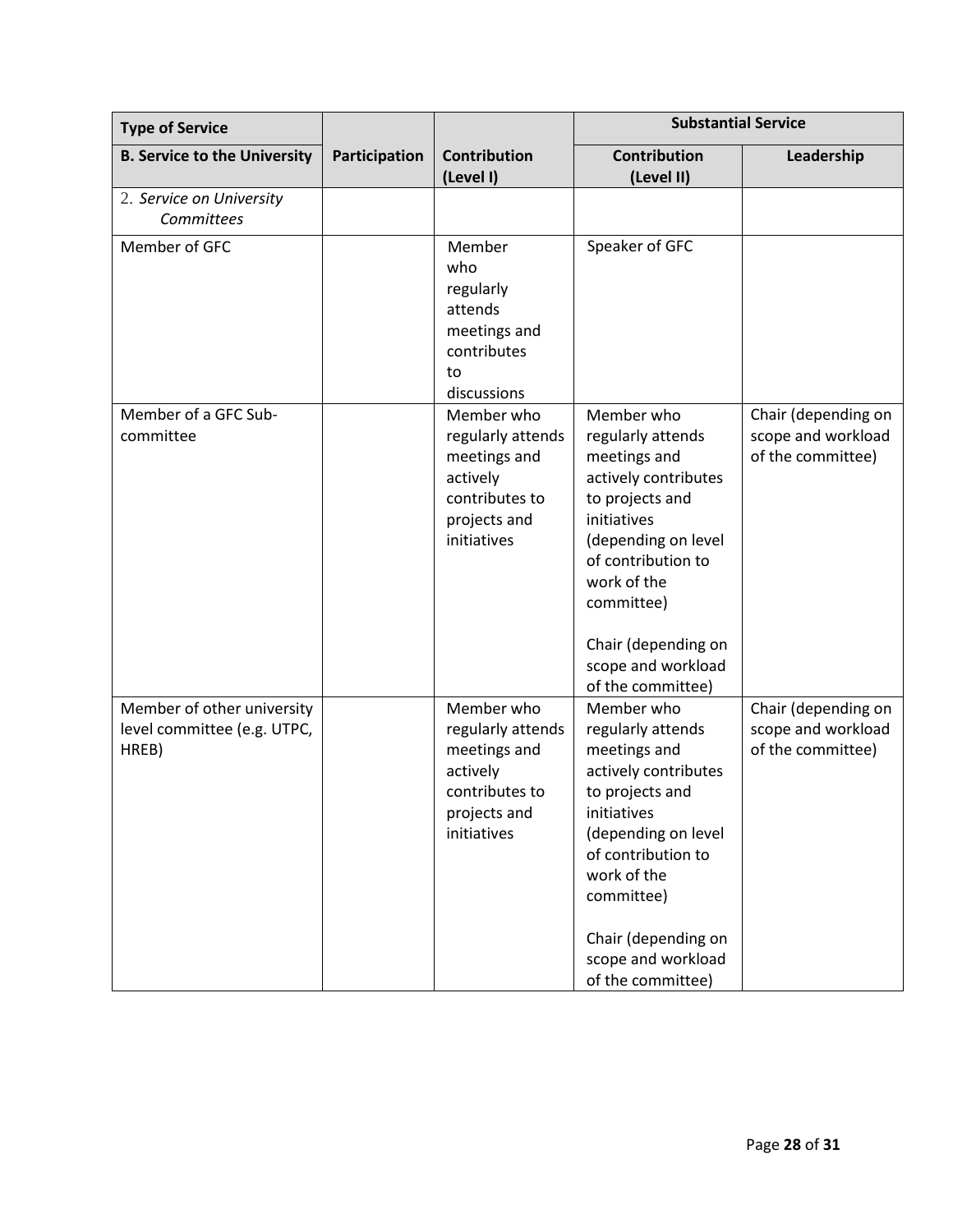| <b>Type of Service</b>                                             |               |                                                                                                              | <b>Substantial Service</b>                                                                                                                                                                                                                            |                                                                |
|--------------------------------------------------------------------|---------------|--------------------------------------------------------------------------------------------------------------|-------------------------------------------------------------------------------------------------------------------------------------------------------------------------------------------------------------------------------------------------------|----------------------------------------------------------------|
| <b>B. Service to the University</b>                                | Participation | <b>Contribution</b><br>(Level I)                                                                             | Contribution<br>(Level II)                                                                                                                                                                                                                            | Leadership                                                     |
| 2. Service on University<br>Committees                             |               |                                                                                                              |                                                                                                                                                                                                                                                       |                                                                |
| Member of GFC                                                      |               | Member<br>who<br>regularly<br>attends<br>meetings and<br>contributes<br>to<br>discussions                    | Speaker of GFC                                                                                                                                                                                                                                        |                                                                |
| Member of a GFC Sub-<br>committee                                  |               | Member who<br>regularly attends<br>meetings and<br>actively<br>contributes to<br>projects and<br>initiatives | Member who<br>regularly attends<br>meetings and<br>actively contributes<br>to projects and<br>initiatives<br>(depending on level<br>of contribution to<br>work of the<br>committee)<br>Chair (depending on<br>scope and workload<br>of the committee) | Chair (depending on<br>scope and workload<br>of the committee) |
| Member of other university<br>level committee (e.g. UTPC,<br>HREB) |               | Member who<br>regularly attends<br>meetings and<br>actively<br>contributes to<br>projects and<br>initiatives | Member who<br>regularly attends<br>meetings and<br>actively contributes<br>to projects and<br>initiatives<br>(depending on level<br>of contribution to<br>work of the<br>committee)<br>Chair (depending on<br>scope and workload<br>of the committee) | Chair (depending on<br>scope and workload<br>of the committee) |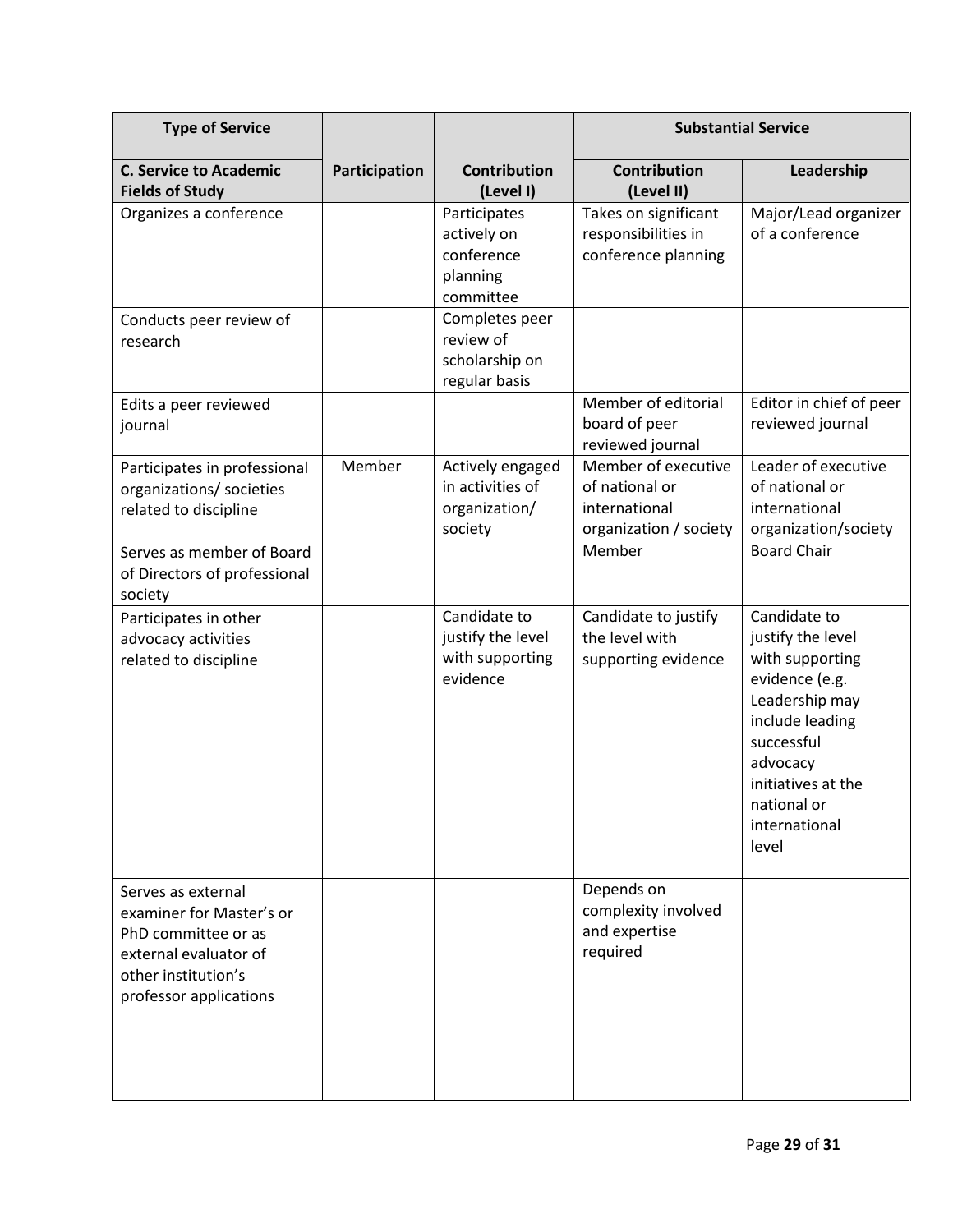| <b>Type of Service</b>                                                                                                                          |               |                                                                    | <b>Substantial Service</b>                                                       |                                                                                                                                                                                                      |
|-------------------------------------------------------------------------------------------------------------------------------------------------|---------------|--------------------------------------------------------------------|----------------------------------------------------------------------------------|------------------------------------------------------------------------------------------------------------------------------------------------------------------------------------------------------|
| <b>C. Service to Academic</b><br><b>Fields of Study</b>                                                                                         | Participation | <b>Contribution</b><br>(Level I)                                   | <b>Contribution</b><br>(Level II)                                                | Leadership                                                                                                                                                                                           |
| Organizes a conference                                                                                                                          |               | Participates<br>actively on<br>conference<br>planning<br>committee | Takes on significant<br>responsibilities in<br>conference planning               | Major/Lead organizer<br>of a conference                                                                                                                                                              |
| Conducts peer review of<br>research                                                                                                             |               | Completes peer<br>review of<br>scholarship on<br>regular basis     |                                                                                  |                                                                                                                                                                                                      |
| Edits a peer reviewed<br>journal                                                                                                                |               |                                                                    | Member of editorial<br>board of peer<br>reviewed journal                         | Editor in chief of peer<br>reviewed journal                                                                                                                                                          |
| Participates in professional<br>organizations/ societies<br>related to discipline                                                               | Member        | Actively engaged<br>in activities of<br>organization/<br>society   | Member of executive<br>of national or<br>international<br>organization / society | Leader of executive<br>of national or<br>international<br>organization/society                                                                                                                       |
| Serves as member of Board<br>of Directors of professional<br>society                                                                            |               |                                                                    | Member                                                                           | <b>Board Chair</b>                                                                                                                                                                                   |
| Participates in other<br>advocacy activities<br>related to discipline                                                                           |               | Candidate to<br>justify the level<br>with supporting<br>evidence   | Candidate to justify<br>the level with<br>supporting evidence                    | Candidate to<br>justify the level<br>with supporting<br>evidence (e.g.<br>Leadership may<br>include leading<br>successful<br>advocacy<br>initiatives at the<br>national or<br>international<br>level |
| Serves as external<br>examiner for Master's or<br>PhD committee or as<br>external evaluator of<br>other institution's<br>professor applications |               |                                                                    | Depends on<br>complexity involved<br>and expertise<br>required                   |                                                                                                                                                                                                      |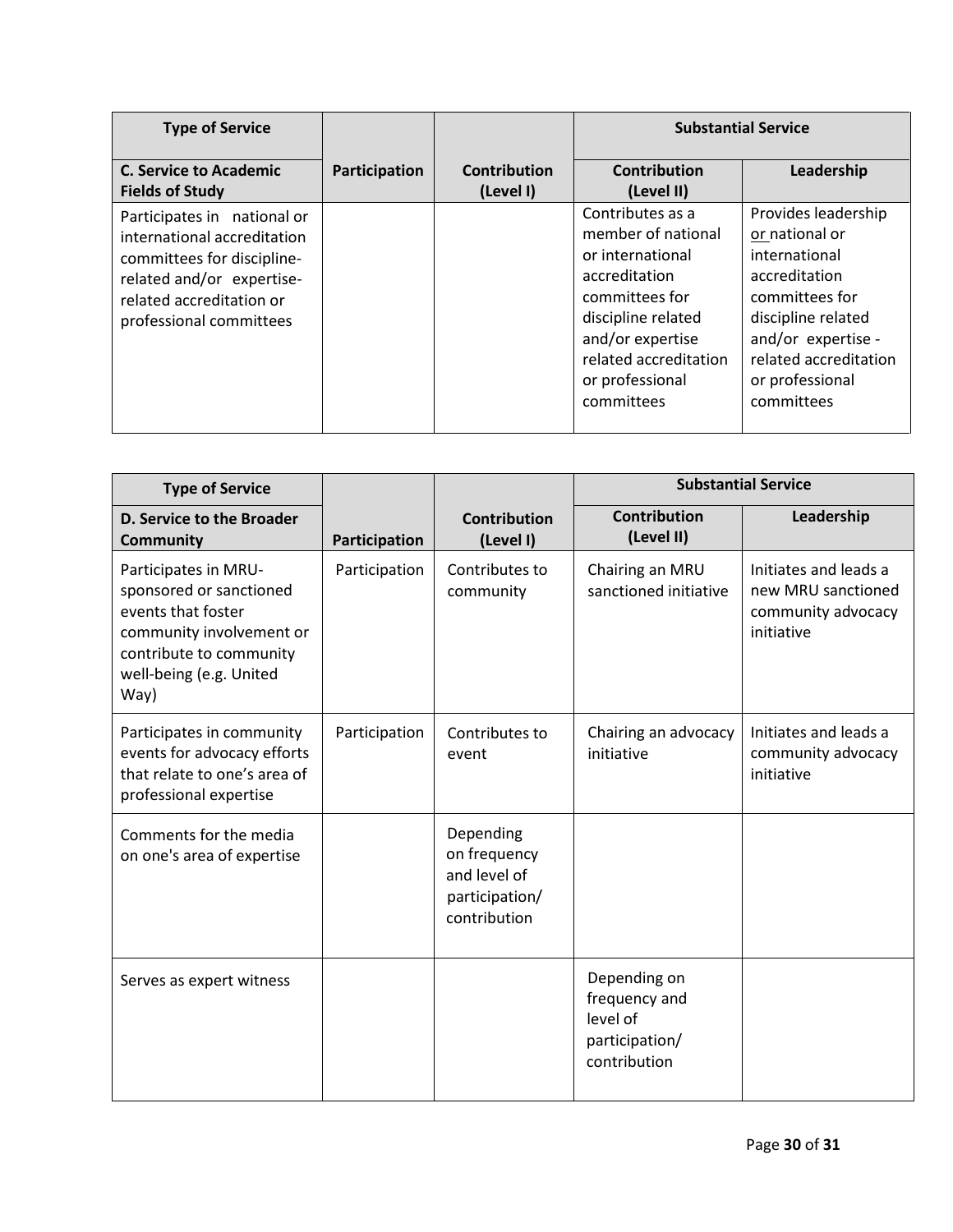| <b>Type of Service</b>                                                                                                                                                       |               |                           | <b>Substantial Service</b>                                                                                                                                                                        |                                                                                                                                                                                                 |
|------------------------------------------------------------------------------------------------------------------------------------------------------------------------------|---------------|---------------------------|---------------------------------------------------------------------------------------------------------------------------------------------------------------------------------------------------|-------------------------------------------------------------------------------------------------------------------------------------------------------------------------------------------------|
| <b>C. Service to Academic</b><br><b>Fields of Study</b>                                                                                                                      | Participation | Contribution<br>(Level I) | <b>Contribution</b><br>(Level II)                                                                                                                                                                 | Leadership                                                                                                                                                                                      |
| Participates in national or<br>international accreditation<br>committees for discipline-<br>related and/or expertise-<br>related accreditation or<br>professional committees |               |                           | Contributes as a<br>member of national<br>or international<br>accreditation<br>committees for<br>discipline related<br>and/or expertise<br>related accreditation<br>or professional<br>committees | Provides leadership<br>or national or<br>international<br>accreditation<br>committees for<br>discipline related<br>and/or expertise -<br>related accreditation<br>or professional<br>committees |

| <b>Type of Service</b>                                                                                                                                          |               |                                                                             | <b>Substantial Service</b>                                                  |                                                                                 |
|-----------------------------------------------------------------------------------------------------------------------------------------------------------------|---------------|-----------------------------------------------------------------------------|-----------------------------------------------------------------------------|---------------------------------------------------------------------------------|
| D. Service to the Broader<br><b>Community</b>                                                                                                                   | Participation | <b>Contribution</b><br>(Level I)                                            | <b>Contribution</b><br>(Level II)                                           | Leadership                                                                      |
| Participates in MRU-<br>sponsored or sanctioned<br>events that foster<br>community involvement or<br>contribute to community<br>well-being (e.g. United<br>Way) | Participation | Contributes to<br>community                                                 | Chairing an MRU<br>sanctioned initiative                                    | Initiates and leads a<br>new MRU sanctioned<br>community advocacy<br>initiative |
| Participates in community<br>events for advocacy efforts<br>that relate to one's area of<br>professional expertise                                              | Participation | Contributes to<br>event                                                     | Chairing an advocacy<br>initiative                                          | Initiates and leads a<br>community advocacy<br>initiative                       |
| Comments for the media<br>on one's area of expertise                                                                                                            |               | Depending<br>on frequency<br>and level of<br>participation/<br>contribution |                                                                             |                                                                                 |
| Serves as expert witness                                                                                                                                        |               |                                                                             | Depending on<br>frequency and<br>level of<br>participation/<br>contribution |                                                                                 |